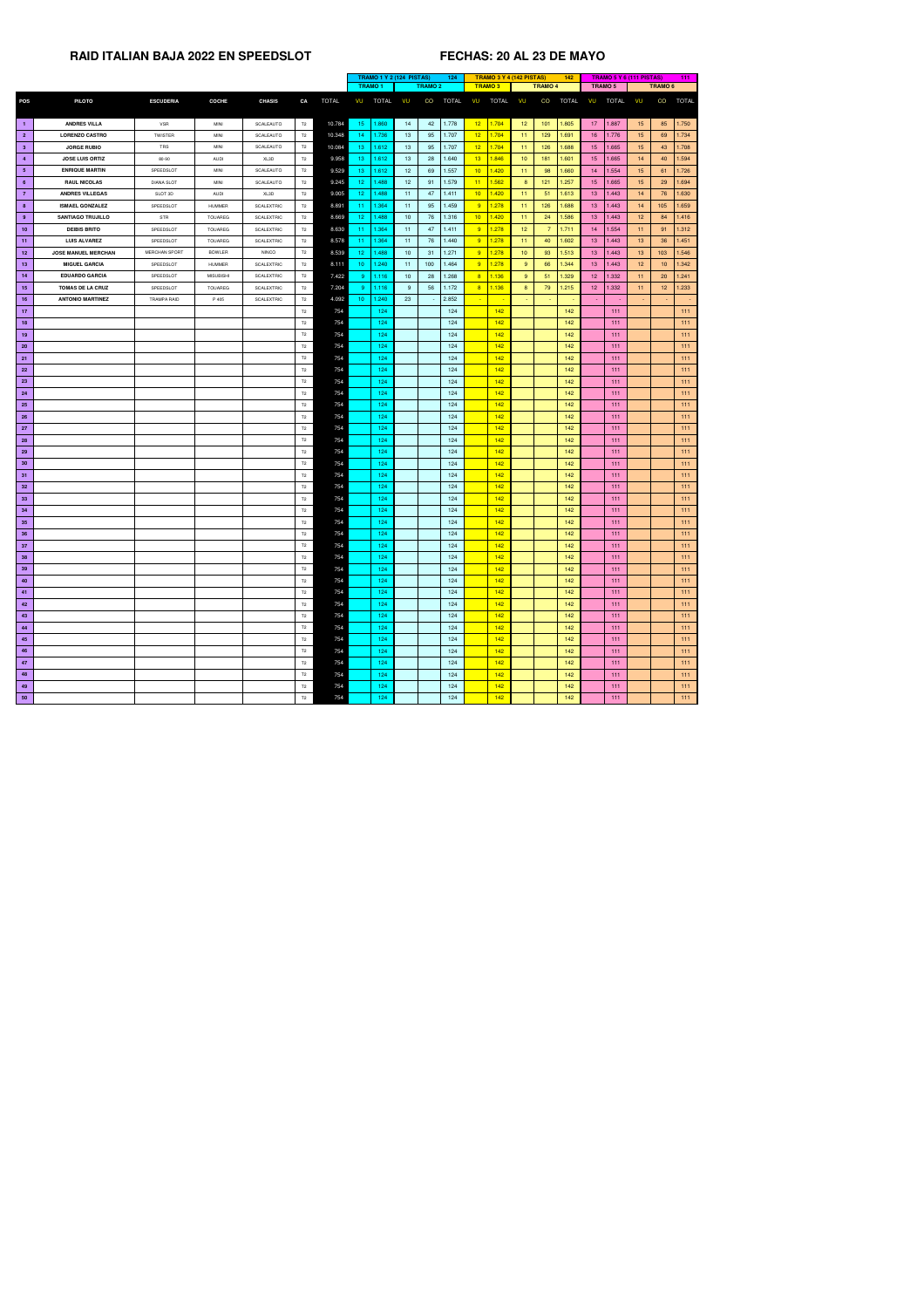|                 |                            |                      |                  |                   |                |              | <b>TRAMO 1 Y 2 (124 PISTAS)</b> |                |                 |                | 124          |                 |               | <b>TRAMO 3 Y 4 (142 PISTAS)</b> |                | 142          |                 |              | <b>TRAMO 5 Y 6 (111 PISTAS)</b> |                 | 111          |
|-----------------|----------------------------|----------------------|------------------|-------------------|----------------|--------------|---------------------------------|----------------|-----------------|----------------|--------------|-----------------|---------------|---------------------------------|----------------|--------------|-----------------|--------------|---------------------------------|-----------------|--------------|
|                 |                            |                      |                  |                   |                |              |                                 | <b>TRAMO 1</b> |                 | <b>TRAMO 2</b> |              |                 | <b>TRAMO3</b> |                                 | <b>TRAMO 4</b> |              | TRAMO 5         |              |                                 | <b>TRAMO 6</b>  |              |
| <b>POS</b>      | <b>PILOTO</b>              | <b>ESCUDERIA</b>     | <b>COCHE</b>     | <b>CHASIS</b>     | CA             | <b>TOTAL</b> | VU                              | <b>TOTAL</b>   | VU              | CO             | <b>TOTAL</b> | VU              | <b>TOTAL</b>  | VU                              | CO             | <b>TOTAL</b> | VU              | <b>TOTAL</b> | VU                              | CO              | <b>TOTAL</b> |
|                 |                            |                      |                  |                   |                |              |                                 |                |                 |                |              |                 |               |                                 |                |              |                 |              |                                 |                 |              |
| $\blacksquare$  | <b>ANDRES VILLA</b>        | <b>VSR</b>           | <b>MINI</b>      | SCALEAUTO         | T2             | 10.784       | 15 <sub>1</sub>                 | 1.860          | 14              | 42             | 1.778        | 12 <sub>2</sub> | 1.704         | 12 <sub>2</sub>                 | 101            | 1.805        | 17 <sub>2</sub> | 1.887        | 15                              | 85              | 1.750        |
| $\overline{2}$  | <b>LORENZO CASTRO</b>      | TWISTER              | MINI             | SCALEAUTO         | T2             | 10.348       | 14                              | 1.736          | 13              | 95             | 1.707        | 12 <sub>2</sub> | 1.704         | 11                              | 129            | 1.691        | 16 <sup>°</sup> | 1.776        | 15                              | 69              | 1.734        |
| 3 <sup>2</sup>  | <b>JORGE RUBIO</b>         | TRS                  | <b>MINI</b>      | SCALEAUTO         | T <sub>2</sub> | 10.084       | 13                              | 1.612          | 13 <sup>°</sup> | 95             | 1.707        | 12 <sub>2</sub> | 1.704         | 11                              | 126            | 1.688        | 15 <sub>1</sub> | 1.665        | 15                              | 43              | 1.708        |
| $\overline{4}$  | <b>JOSE LUIS ORTIZ</b>     | 80-90                | <b>AUDI</b>      | XL3D              | T2             | 9.958        | 13                              | 1.612          | 13              | 28             | 1.640        | 13 <sup>°</sup> | 1.846         | 10                              | 181            | 1.601        | 15 <sub>1</sub> | 1.665        | 14                              | 40              | 1.594        |
| $5\phantom{.0}$ | <b>ENRIQUE MARTIN</b>      | SPEEDSLOT            | <b>MINI</b>      | SCALEAUTO         | T2             | 9.529        | 13                              | 1.612          | 12 <sup>7</sup> | 69             | 1.557        | 10 <sup>2</sup> | 1.420         | 11                              | 98             | 1.660        | 14              | 1.554        | 15 <sub>1</sub>                 | -61             | 1.726        |
| $6\overline{6}$ | <b>RAUL NICOLAS</b>        | <b>DIANA SLOT</b>    | <b>MINI</b>      | SCALEAUTO         | T <sub>2</sub> | 9.245        | 12 <sub>2</sub>                 | .488           | 12 <sup>7</sup> | 91             | 1.579        | 11              | 1.562         | 8                               | 121            | 1.257        | 15 <sub>1</sub> | 1.665        | 15                              | 29              | 1.694        |
| $\overline{7}$  | <b>ANDRES VILLEGAS</b>     | SLOT 3D              | AUDI             | XL3D              | T <sub>2</sub> | 9.005        | 12                              | .488           | 11              | 47             | 1.411        | 10 <sup>°</sup> | 1.420         | 11                              | 51             | 1.613        | 13 <sup>°</sup> | 1.443        | 14                              | 76              | 1.630        |
| 8 <sup>°</sup>  | <b>ISMAEL GONZALEZ</b>     | SPEEDSLOT            | HUMMER           | <b>SCALEXTRIC</b> | T <sub>2</sub> | 8.891        | -11                             | 1.364          | 11              | 95             | 1.459        | 9               | 1.278         | 11                              | 126            | 1.688        | 13 <sup>°</sup> | 1.443        | 14                              | 105             | 1.659        |
| 9               | <b>SANTIAGO TRUJILLO</b>   | <b>STR</b>           | <b>TOUAREG</b>   | <b>SCALEXTRIC</b> | T <sub>2</sub> | 8.669        | 12                              | .488           | 10              | 76             | 1.316        | 10 <sup>7</sup> | 1.420         | 11                              | 24             | 1.586        | 13 <sup>°</sup> | 1.443        | 12 <sup>°</sup>                 | 84              | 1.416        |
| 10              | <b>DEIBIS BRITO</b>        | SPEEDSLOT            | TOUAREG          | <b>SCALEXTRIC</b> | T2             | 8.630        | -11                             | 1.364          | 11              | 47             | 1.411        | 9               | 1.278         | 12 <sub>2</sub>                 |                | 1.711        | 14              | 1.554        | 11 <sub>1</sub>                 | -91             | 1.312        |
| 11              | <b>LUIS ALVAREZ</b>        | SPEEDSLOT            | <b>TOUAREG</b>   | <b>SCALEXTRIC</b> | T <sub>2</sub> | 8.578        | 11                              | 1.364          | 11              | 76             | 1.440        | 9               | 1.278         | 11                              | 40             | 1.602        | 13 <sup>°</sup> | 1.443        | 13                              | 36              | 1.451        |
| 12 <sub>2</sub> | <b>JOSE MANUEL MERCHAN</b> | <b>MERCHAN SPORT</b> | <b>BOWLER</b>    | <b>NINCO</b>      | T2             | 8.539        | 12 <sub>2</sub>                 | .488           | 10 <sup>1</sup> | 31             | 1.271        | 9               | 1.278         | 10                              | 93             | 1.513        | 13 <sup>°</sup> | 1.443        | 13                              | 103             | 1.546        |
| 13              | <b>MIGUEL GARCIA</b>       | SPEEDSLOT            | <b>HUMMER</b>    | <b>SCALEXTRIC</b> | T <sub>2</sub> | 8.111        | 10 <sup>°</sup>                 | 1.240          | 11              | 100            | 1.464        | 9               | 1.278         | 9                               | 66             | 1.344        | 13 <sup>°</sup> | 1.443        | 12 <sub>2</sub>                 | 10 <sup>°</sup> | 1.342        |
|                 | <b>EDUARDO GARCIA</b>      | SPEEDSLOT            |                  |                   |                | 7.422        | -9                              | 1.116          |                 | 28             | 1.268        | 8               | 1.136         | 9                               | 51             | 1.329        | 12 <sup>7</sup> | 1.332        | 11                              |                 | 1.241        |
| 14              |                            |                      | <b>MISUBISHI</b> | <b>SCALEXTRIC</b> | T2             |              |                                 |                | 10 <sup>1</sup> |                |              |                 |               |                                 |                |              |                 |              |                                 | 20              |              |
| 15              | <b>TOMAS DE LA CRUZ</b>    | SPEEDSLOT            | TOUAREG          | <b>SCALEXTRIC</b> | T <sub>2</sub> | 7.204        | -9                              | 1.116          | $9^{\circ}$     | 56             | 1.172        | 8               | 1.136         | 8                               | 79             | 1.215        | 12 <sup>7</sup> | 1.332        | 11                              | 12 <sup>2</sup> | 1.233        |
| 16              | <b>ANTONIO MARTINEZ</b>    | <b>TRAMPA RAID</b>   | P 405            | <b>SCALEXTRIC</b> | T <sub>2</sub> | 4.092        | 10                              | 1.240          | 23              |                | 2.852        |                 |               | <b>Section</b>                  | $\sim$         |              | $\sim$          |              | $\sim$                          |                 |              |
| 17 <sub>2</sub> |                            |                      |                  |                   | T <sub>2</sub> | 754          |                                 | 124            |                 |                | 124          |                 | 142           |                                 |                | 142          |                 | 111          |                                 |                 | 111          |
| 18              |                            |                      |                  |                   | T <sub>2</sub> | 754          |                                 | 124            |                 |                | 124          |                 | 142           |                                 |                | 142          |                 | 111          |                                 |                 | 111          |
| 19              |                            |                      |                  |                   | T2             | 754          |                                 | 124            |                 |                | 124          |                 | 142           |                                 |                | 142          |                 | 111          |                                 |                 | 111          |
| 20              |                            |                      |                  |                   | T2             | 754          |                                 | 124            |                 |                | 124          |                 | 142           |                                 |                | 142          |                 | 111          |                                 |                 | 111          |
| 21              |                            |                      |                  |                   | T2             | 754          |                                 | 124            |                 |                | 124          |                 | 142           |                                 |                | 142          |                 | 111          |                                 |                 | 111          |
| <b>22</b>       |                            |                      |                  |                   | T <sub>2</sub> | 754          |                                 | 124            |                 |                | 124          |                 | 142           |                                 |                | 142          |                 | 111          |                                 |                 | 111          |
| 23              |                            |                      |                  |                   | T2             | 754          |                                 | 124            |                 |                | 124          |                 | 142           |                                 |                | 142          |                 | 111          |                                 |                 | 111          |
| 24              |                            |                      |                  |                   | T2             | 754          |                                 | 124            |                 |                | 124          |                 | 142           |                                 |                | 142          |                 | 111          |                                 |                 | 111          |
| <b>25</b>       |                            |                      |                  |                   | T2             | 754          |                                 | 124            |                 |                | 124          |                 | 142           |                                 |                | 142          |                 | 111          |                                 |                 | 111          |
| <b>26</b>       |                            |                      |                  |                   | T2             | 754          |                                 | 124            |                 |                | 124          |                 | 142           |                                 |                | 142          |                 | 111          |                                 |                 | 111          |
| 27              |                            |                      |                  |                   | T2             | 754          |                                 | 124            |                 |                | 124          |                 | 142           |                                 |                | 142          |                 | 111          |                                 |                 | 111          |
| 28              |                            |                      |                  |                   | T2             | 754          |                                 | 124            |                 |                | 124          |                 | 142           |                                 |                | 142          |                 | 111          |                                 |                 | 111          |
| 29              |                            |                      |                  |                   | T2             | 754          |                                 | 124            |                 |                | 124          |                 | 142           |                                 |                | 142          |                 | 111          |                                 |                 | 111          |
| 30 <sub>o</sub> |                            |                      |                  |                   | T2             | 754          |                                 | 124            |                 |                | 124          |                 | 142           |                                 |                | 142          |                 | 111          |                                 |                 | $111$        |
| 31              |                            |                      |                  |                   | T <sub>2</sub> | 754          |                                 | 124            |                 |                | 124          |                 | 142           |                                 |                | 142          |                 | 111          |                                 |                 | $111$        |
| 32              |                            |                      |                  |                   | T2             | 754          |                                 | 124            |                 |                | 124          |                 | 142           |                                 |                | 142          |                 | 111          |                                 |                 | $111$        |
| 33              |                            |                      |                  |                   | T <sub>2</sub> | 754          |                                 | 124            |                 |                | 124          |                 | 142           |                                 |                | 142          |                 | 111          |                                 |                 | $111$        |
| 34              |                            |                      |                  |                   | T2             | 754          |                                 | 124            |                 |                | 124          |                 | 142           |                                 |                | 142          |                 | 111          |                                 |                 | 111          |
| 35              |                            |                      |                  |                   | T2             | 754          |                                 | 124            |                 |                | 124          |                 | 142           |                                 |                | 142          |                 | 111          |                                 |                 | 111          |
| 36              |                            |                      |                  |                   | T2             | 754          |                                 | 124            |                 |                | 124          |                 | 142           |                                 |                | 142          |                 | 111          |                                 |                 | 111          |
| 37              |                            |                      |                  |                   | T2             | 754          |                                 | 124            |                 |                | 124          |                 | 142           |                                 |                | 142          |                 | 111          |                                 |                 | 111          |
| 38              |                            |                      |                  |                   | T2             | 754          |                                 | 124            |                 |                | 124          |                 | 142           |                                 |                | 142          |                 | 111          |                                 |                 | $111$        |
| 39              |                            |                      |                  |                   | T2             | 754          |                                 | 124            |                 |                | 124          |                 | 142           |                                 |                | 142          |                 | 111          |                                 |                 | $111$        |
| 40              |                            |                      |                  |                   | T2             | 754          |                                 | 124            |                 |                | 124          |                 | 142           |                                 |                | 142          |                 | 111          |                                 |                 | $111$        |
| 41              |                            |                      |                  |                   | T2             | 754          |                                 | 124            |                 |                | 124          |                 | 142           |                                 |                | 142          |                 | 111          |                                 |                 | 111          |
| 42              |                            |                      |                  |                   | T2             | 754          |                                 | 124            |                 |                | 124          |                 | 142           |                                 |                | 142          |                 | 111          |                                 |                 | $111$        |
| 43              |                            |                      |                  |                   | T2             | 754          |                                 | 124            |                 |                | 124          |                 | 142           |                                 |                | 142          |                 | 111          |                                 |                 | 111          |
| 44              |                            |                      |                  |                   | T2             | 754          |                                 | 124            |                 |                | 124          |                 | 142           |                                 |                | 142          |                 | 111          |                                 |                 | $111$        |
|                 |                            |                      |                  |                   |                | 754          |                                 | 124            |                 |                | 124          |                 | 142           |                                 |                | 142          |                 | 111          |                                 |                 | 111          |
| 45              |                            |                      |                  |                   | T2             |              |                                 |                |                 |                |              |                 | 142           |                                 |                |              |                 |              |                                 |                 |              |
| 46              |                            |                      |                  |                   | T2             | 754          |                                 | 124            |                 |                | 124          |                 |               |                                 |                | 142          |                 | 111          |                                 |                 | $111$        |
| 47              |                            |                      |                  |                   | T2             | 754          |                                 | 124            |                 |                | 124          |                 | 142           |                                 |                | 142          |                 | 111          |                                 |                 | 111          |
| 48              |                            |                      |                  |                   | T2             | 754          |                                 | 124            |                 |                | 124          |                 | 142           |                                 |                | 142          |                 | 111          |                                 |                 | $111$        |
| 49              |                            |                      |                  |                   | T2             | 754          |                                 | 124            |                 |                | 124          |                 | 142           |                                 |                | 142          |                 | 111          |                                 |                 | 111          |
| 50              |                            |                      |                  |                   | T2             | 754          |                                 | 124            |                 |                | 124          |                 | 142           |                                 |                | 142          |                 | 111          |                                 |                 | 111          |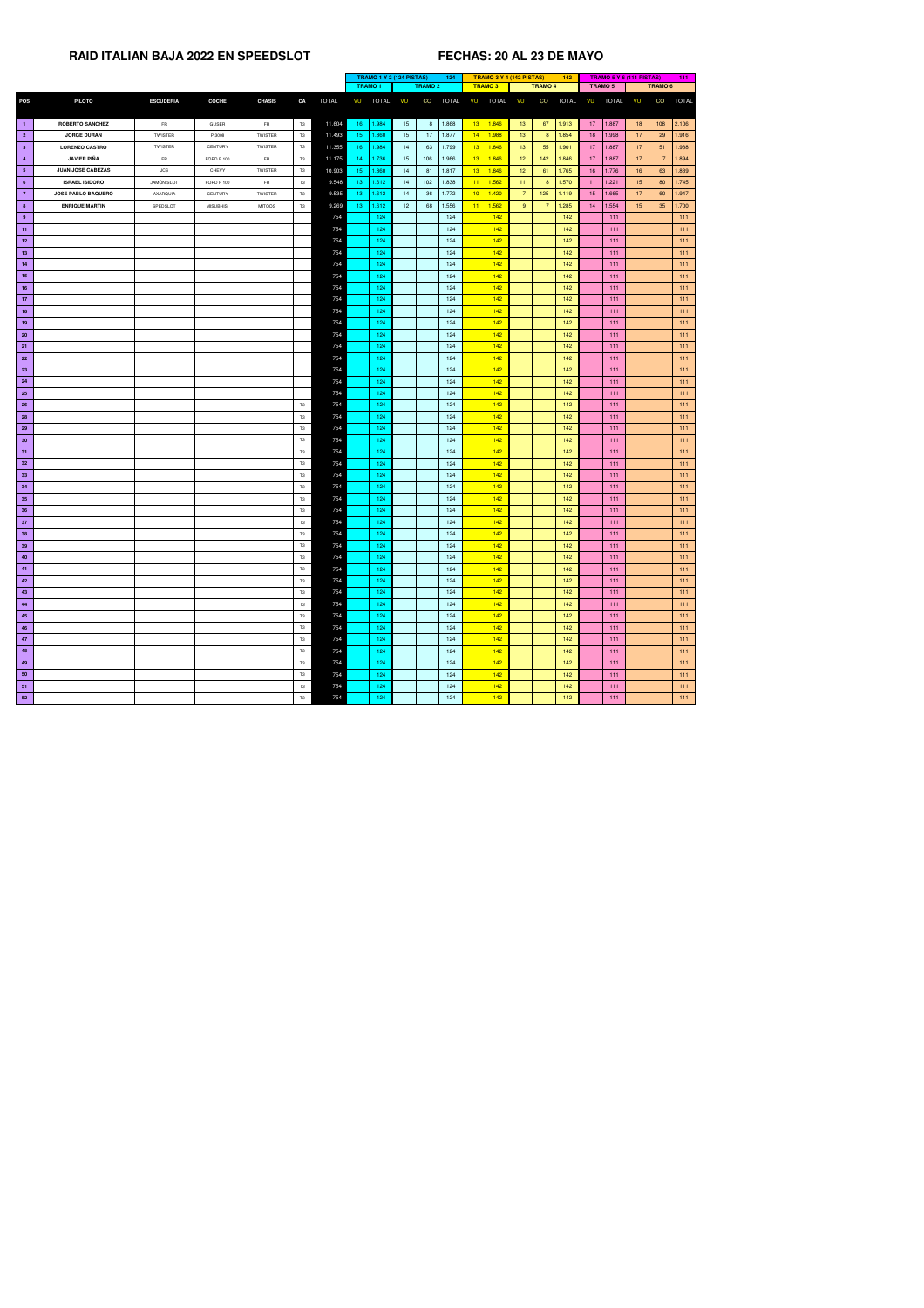| <b>TRAMO3</b><br>TRAMO 5<br><b>TRAMO 1</b><br><b>TRAMO 2</b><br><b>TRAMO 4</b><br>TRAMO <sub>6</sub><br><b>TOTAL</b><br><b>TOTAL</b><br>CO<br><b>TOTAL</b><br><b>TOTAL</b><br>VU<br>CO<br><b>TOTAL</b><br><b>TOTAL</b><br>CO<br><b>TOTAL</b><br><b>PILOTO</b><br><b>ESCUDERIA</b><br><b>COCHE</b><br><b>CHASIS</b><br>CA<br>VU<br>VU<br>VU<br>VU<br>VU<br>13<br>2.106<br>1.868<br>1.846<br>67<br>15 <sub>1</sub><br>13 <sup>°</sup><br>1.913<br>$17 -$<br>1.887<br>18<br>108<br><b>ROBERTO SANCHEZ</b><br>11.604<br>16<br>1.984<br>8 <sup>°</sup><br>$\vert$ 1<br><b>FR</b><br><b>GUSER</b><br><b>FR</b><br>T3<br>14<br>1.877<br>1.988<br>15 <sub>1</sub><br>17<br>13 <sup>°</sup><br>1.998<br>17 <sup>2</sup><br>1.916<br>$\overline{2}$<br><b>JORGE DURAN</b><br>11.493<br>15 <sub>1</sub><br>1.860<br>1.854<br>18<br>29<br>TWISTER<br>T3<br>8 <sup>°</sup><br>TWISTER<br>P 3008<br>1.799<br>13 <sup>°</sup><br>1.846<br>11.355<br>1.984<br>63<br>13 <sup>°</sup><br>55<br>1.901<br>$17 -$<br>1.887<br>17 <sup>2</sup><br>1.938<br><b>LORENZO CASTRO</b><br>T3<br>16<br>14<br>51<br>3 <sup>°</sup><br><b>TWISTER</b><br><b>TWISTER</b><br>CENTURY<br><b>JAVIER PIÑA</b><br>1.966<br>13<br>1.846<br>12<br>1.736<br>15 <sub>1</sub><br>1.846<br>17<br>1.887<br>17<br>1.894<br><b>FR</b><br>11.175<br>14<br>142<br>$\overline{7}$<br><b>FR</b><br>T3<br>106<br>$\overline{4}$<br><b>FORD F 100</b><br>13<br>10.903<br>1.817<br>T3<br>15 <sub>1</sub><br>1.860<br>1.846<br>12 <sup>°</sup><br>1.765<br>16<br>1.776<br>16<br>63<br>1.839<br>5 <sub>5</sub><br><b>JUAN JOSE CABEZAS</b><br><b>JCS</b><br><b>TWISTER</b><br>14<br>81<br>61<br>CHEVY<br>1.838<br>1.562<br>1.570<br>15<br>1.745<br><b>ISRAEL ISIDORO</b><br><b>JAMÒN SLOT</b><br><b>FR</b><br>T <sub>3</sub><br>9.548<br>1.612<br>14<br>102<br>11<br>11 <sub>1</sub><br>1.221<br>80<br><b>FORD F 100</b><br>13 <sub>1</sub><br>8 <sup>°</sup><br>$11 -$<br>$6^{\circ}$<br>1.772<br>10 <sub>1</sub><br>$\overline{7}$<br>9.535<br>13 <sub>1</sub><br>1.612<br>36<br>1.420<br>125<br>1.119<br>1.665<br>17<br>1.947<br>$\overline{7}$<br><b>JOSE PABLO BAQUERO</b><br>AXARQUIA<br>CENTURY<br>TWISTER<br>T3<br>14<br>15 <sub>1</sub><br>60<br>1.556<br>1.562<br>9.269<br>1.612<br>12 <sub>2</sub><br>68<br>11<br>9 <sup>°</sup><br>1.285<br>1.554<br>15<br>35<br>1.700<br><b>ENRIQUE MARTIN</b><br>T3<br>13 <sub>1</sub><br>$\overline{7}$<br>8 <sup>2</sup><br>SPEDSLOT<br><b>MISUBHISI</b><br><b>MITOOS</b><br>14<br>124<br>142<br>124<br>142<br>111<br>111<br>9<br>754<br>124<br>142<br>754<br>124<br>142<br>111<br>111<br>11<br>124<br>142<br>754<br>124<br>142<br>111<br>111<br>12<br>754<br>124<br>142<br>142<br>13<br>124<br>111<br>111<br>124<br>754<br>142<br>142<br>111<br>124<br>111<br>14<br>124<br>754<br>142<br>142<br>111<br>124<br>111<br>15<br>754<br>124<br>124<br>142<br>142<br>111<br>111<br>16<br>754<br>124<br>142<br>142<br>124<br>111<br>111<br>17 <sub>2</sub><br>754<br>124<br>124<br>142<br>142<br>111<br>111<br>18<br>124<br>142<br>754<br>124<br>142<br>111<br>111<br>19<br>754<br>124<br>142<br>124<br>142<br>111<br>111<br><b>20</b><br>124<br>142<br>754<br>142<br>111<br>124<br>111<br>21<br>754<br>124<br>142<br>124<br>142<br>111<br>22<br>111<br>754<br>124<br>142<br>142<br>124<br>111<br>111<br><b>23</b><br>754<br>124<br>142<br>142<br>124<br>111<br>111<br>24<br>754<br>124<br>142<br><b>25</b><br>142<br>111<br>111<br>124<br>124<br>754<br>142<br>26<br>124<br>142<br>111<br>111<br>T3<br>124<br>142<br><b>28</b><br>754<br>124<br>142<br>111<br>111<br>T <sub>3</sub><br>124<br>142<br>142<br>29<br>754<br>124<br>111<br>111<br>T3<br>754<br>124<br>142<br>30<br>124<br>142<br>111<br>111<br>T3<br>754<br>124<br>142<br>142<br>111<br>31<br>124<br>111<br>T3<br>754<br>124<br>142<br>142<br>32 <sub>2</sub><br>124<br>111<br>111<br>T3<br>754<br>124<br>142 <sub>1</sub><br>142<br>111<br>33<br>T3<br>124<br>111<br>124<br>142<br>754<br>142<br>34<br>124<br>111<br>111<br>T3<br>754<br>124<br>35<br>124<br>142<br>142<br>111<br>111<br>T3<br>124<br>142<br>36<br>T3<br>754<br>124<br>142<br>111<br>111<br>754<br>142<br>37<br>T3<br>124<br>124<br>142<br>111<br>111<br>142<br>124<br>142<br>38<br>T3<br>754<br>124<br>111<br>111<br>754<br>142<br>39<br>124<br>142<br>T <sub>3</sub><br>124<br>111<br>111<br>754<br>40<br>T3<br>124<br>142<br>142<br>111<br>111<br>124<br>754<br>124<br>124<br>142<br>142<br>111<br>T3<br>41<br>111<br>142<br>42<br>T3<br>754<br>124<br>142<br>111<br>124<br>111<br>124<br>142<br>754<br>142<br>111<br>43<br>T3<br>124<br>111<br>T <sub>3</sub><br>124<br>142<br>44<br>754<br>124<br>142<br>111<br>111<br>124<br>142<br>754<br>124<br>142<br>111<br>111<br>T3<br>45<br>142<br>754<br>124<br>124<br>142<br>46<br>T3<br>111<br>111<br>142<br>754<br>124<br>142<br>124<br>111<br>47<br>111<br>T3<br>142<br>754<br>124<br>124<br>142<br>111<br>111<br>48<br>T3<br>754<br>124<br>142<br>124<br>142<br>111<br>49<br>T3<br>111<br>142<br>754<br>124<br>124<br>142<br>50<br>111<br>111<br>T3<br>142<br>754<br>124<br>142<br>124<br>111<br>111<br>51<br>T3 |            |  |  |    |     |     | TRAMO 1 Y 2 (124 PISTAS)<br>124 |  | TRAMO 3 Y 4 (142 PISTAS) |     | 142 |     | <b>TRAMO 5 Y 6 (111 PISTAS)</b> | 111 |     |
|-------------------------------------------------------------------------------------------------------------------------------------------------------------------------------------------------------------------------------------------------------------------------------------------------------------------------------------------------------------------------------------------------------------------------------------------------------------------------------------------------------------------------------------------------------------------------------------------------------------------------------------------------------------------------------------------------------------------------------------------------------------------------------------------------------------------------------------------------------------------------------------------------------------------------------------------------------------------------------------------------------------------------------------------------------------------------------------------------------------------------------------------------------------------------------------------------------------------------------------------------------------------------------------------------------------------------------------------------------------------------------------------------------------------------------------------------------------------------------------------------------------------------------------------------------------------------------------------------------------------------------------------------------------------------------------------------------------------------------------------------------------------------------------------------------------------------------------------------------------------------------------------------------------------------------------------------------------------------------------------------------------------------------------------------------------------------------------------------------------------------------------------------------------------------------------------------------------------------------------------------------------------------------------------------------------------------------------------------------------------------------------------------------------------------------------------------------------------------------------------------------------------------------------------------------------------------------------------------------------------------------------------------------------------------------------------------------------------------------------------------------------------------------------------------------------------------------------------------------------------------------------------------------------------------------------------------------------------------------------------------------------------------------------------------------------------------------------------------------------------------------------------------------------------------------------------------------------------------------------------------------------------------------------------------------------------------------------------------------------------------------------------------------------------------------------------------------------------------------------------------------------------------------------------------------------------------------------------------------------------------------------------------------------------------------------------------------------------------------------------------------------------------------------------------------------------------------------------------------------------------------------------------------------------------------------------------------------------------------------------------------------------------------------------------------------------------------------------------------------------------------------------------------------------------------------------------------------------------------------------------------------------------------------------------------------------------------------------------------------------------------------------------------------------------------------------------------------------------------------------------------------------------------------------------------------------------------------------------------------------------------------------------------------------------------------------------------------------------------------------------------------------------------------------------------------------------------------------------------------------------------------------------------------------------------------------------------------------------------------------------------------------------------------------------------------------------------------|------------|--|--|----|-----|-----|---------------------------------|--|--------------------------|-----|-----|-----|---------------------------------|-----|-----|
|                                                                                                                                                                                                                                                                                                                                                                                                                                                                                                                                                                                                                                                                                                                                                                                                                                                                                                                                                                                                                                                                                                                                                                                                                                                                                                                                                                                                                                                                                                                                                                                                                                                                                                                                                                                                                                                                                                                                                                                                                                                                                                                                                                                                                                                                                                                                                                                                                                                                                                                                                                                                                                                                                                                                                                                                                                                                                                                                                                                                                                                                                                                                                                                                                                                                                                                                                                                                                                                                                                                                                                                                                                                                                                                                                                                                                                                                                                                                                                                                                                                                                                                                                                                                                                                                                                                                                                                                                                                                                                                                                                                                                                                                                                                                                                                                                                                                                                                                                                                                                                                                                     |            |  |  |    |     |     |                                 |  |                          |     |     |     |                                 |     |     |
|                                                                                                                                                                                                                                                                                                                                                                                                                                                                                                                                                                                                                                                                                                                                                                                                                                                                                                                                                                                                                                                                                                                                                                                                                                                                                                                                                                                                                                                                                                                                                                                                                                                                                                                                                                                                                                                                                                                                                                                                                                                                                                                                                                                                                                                                                                                                                                                                                                                                                                                                                                                                                                                                                                                                                                                                                                                                                                                                                                                                                                                                                                                                                                                                                                                                                                                                                                                                                                                                                                                                                                                                                                                                                                                                                                                                                                                                                                                                                                                                                                                                                                                                                                                                                                                                                                                                                                                                                                                                                                                                                                                                                                                                                                                                                                                                                                                                                                                                                                                                                                                                                     | <b>POS</b> |  |  |    |     |     |                                 |  |                          |     |     |     |                                 |     |     |
|                                                                                                                                                                                                                                                                                                                                                                                                                                                                                                                                                                                                                                                                                                                                                                                                                                                                                                                                                                                                                                                                                                                                                                                                                                                                                                                                                                                                                                                                                                                                                                                                                                                                                                                                                                                                                                                                                                                                                                                                                                                                                                                                                                                                                                                                                                                                                                                                                                                                                                                                                                                                                                                                                                                                                                                                                                                                                                                                                                                                                                                                                                                                                                                                                                                                                                                                                                                                                                                                                                                                                                                                                                                                                                                                                                                                                                                                                                                                                                                                                                                                                                                                                                                                                                                                                                                                                                                                                                                                                                                                                                                                                                                                                                                                                                                                                                                                                                                                                                                                                                                                                     |            |  |  |    |     |     |                                 |  |                          |     |     |     |                                 |     |     |
|                                                                                                                                                                                                                                                                                                                                                                                                                                                                                                                                                                                                                                                                                                                                                                                                                                                                                                                                                                                                                                                                                                                                                                                                                                                                                                                                                                                                                                                                                                                                                                                                                                                                                                                                                                                                                                                                                                                                                                                                                                                                                                                                                                                                                                                                                                                                                                                                                                                                                                                                                                                                                                                                                                                                                                                                                                                                                                                                                                                                                                                                                                                                                                                                                                                                                                                                                                                                                                                                                                                                                                                                                                                                                                                                                                                                                                                                                                                                                                                                                                                                                                                                                                                                                                                                                                                                                                                                                                                                                                                                                                                                                                                                                                                                                                                                                                                                                                                                                                                                                                                                                     |            |  |  |    |     |     |                                 |  |                          |     |     |     |                                 |     |     |
|                                                                                                                                                                                                                                                                                                                                                                                                                                                                                                                                                                                                                                                                                                                                                                                                                                                                                                                                                                                                                                                                                                                                                                                                                                                                                                                                                                                                                                                                                                                                                                                                                                                                                                                                                                                                                                                                                                                                                                                                                                                                                                                                                                                                                                                                                                                                                                                                                                                                                                                                                                                                                                                                                                                                                                                                                                                                                                                                                                                                                                                                                                                                                                                                                                                                                                                                                                                                                                                                                                                                                                                                                                                                                                                                                                                                                                                                                                                                                                                                                                                                                                                                                                                                                                                                                                                                                                                                                                                                                                                                                                                                                                                                                                                                                                                                                                                                                                                                                                                                                                                                                     |            |  |  |    |     |     |                                 |  |                          |     |     |     |                                 |     |     |
|                                                                                                                                                                                                                                                                                                                                                                                                                                                                                                                                                                                                                                                                                                                                                                                                                                                                                                                                                                                                                                                                                                                                                                                                                                                                                                                                                                                                                                                                                                                                                                                                                                                                                                                                                                                                                                                                                                                                                                                                                                                                                                                                                                                                                                                                                                                                                                                                                                                                                                                                                                                                                                                                                                                                                                                                                                                                                                                                                                                                                                                                                                                                                                                                                                                                                                                                                                                                                                                                                                                                                                                                                                                                                                                                                                                                                                                                                                                                                                                                                                                                                                                                                                                                                                                                                                                                                                                                                                                                                                                                                                                                                                                                                                                                                                                                                                                                                                                                                                                                                                                                                     |            |  |  |    |     |     |                                 |  |                          |     |     |     |                                 |     |     |
|                                                                                                                                                                                                                                                                                                                                                                                                                                                                                                                                                                                                                                                                                                                                                                                                                                                                                                                                                                                                                                                                                                                                                                                                                                                                                                                                                                                                                                                                                                                                                                                                                                                                                                                                                                                                                                                                                                                                                                                                                                                                                                                                                                                                                                                                                                                                                                                                                                                                                                                                                                                                                                                                                                                                                                                                                                                                                                                                                                                                                                                                                                                                                                                                                                                                                                                                                                                                                                                                                                                                                                                                                                                                                                                                                                                                                                                                                                                                                                                                                                                                                                                                                                                                                                                                                                                                                                                                                                                                                                                                                                                                                                                                                                                                                                                                                                                                                                                                                                                                                                                                                     |            |  |  |    |     |     |                                 |  |                          |     |     |     |                                 |     |     |
|                                                                                                                                                                                                                                                                                                                                                                                                                                                                                                                                                                                                                                                                                                                                                                                                                                                                                                                                                                                                                                                                                                                                                                                                                                                                                                                                                                                                                                                                                                                                                                                                                                                                                                                                                                                                                                                                                                                                                                                                                                                                                                                                                                                                                                                                                                                                                                                                                                                                                                                                                                                                                                                                                                                                                                                                                                                                                                                                                                                                                                                                                                                                                                                                                                                                                                                                                                                                                                                                                                                                                                                                                                                                                                                                                                                                                                                                                                                                                                                                                                                                                                                                                                                                                                                                                                                                                                                                                                                                                                                                                                                                                                                                                                                                                                                                                                                                                                                                                                                                                                                                                     |            |  |  |    |     |     |                                 |  |                          |     |     |     |                                 |     |     |
|                                                                                                                                                                                                                                                                                                                                                                                                                                                                                                                                                                                                                                                                                                                                                                                                                                                                                                                                                                                                                                                                                                                                                                                                                                                                                                                                                                                                                                                                                                                                                                                                                                                                                                                                                                                                                                                                                                                                                                                                                                                                                                                                                                                                                                                                                                                                                                                                                                                                                                                                                                                                                                                                                                                                                                                                                                                                                                                                                                                                                                                                                                                                                                                                                                                                                                                                                                                                                                                                                                                                                                                                                                                                                                                                                                                                                                                                                                                                                                                                                                                                                                                                                                                                                                                                                                                                                                                                                                                                                                                                                                                                                                                                                                                                                                                                                                                                                                                                                                                                                                                                                     |            |  |  |    |     |     |                                 |  |                          |     |     |     |                                 |     |     |
|                                                                                                                                                                                                                                                                                                                                                                                                                                                                                                                                                                                                                                                                                                                                                                                                                                                                                                                                                                                                                                                                                                                                                                                                                                                                                                                                                                                                                                                                                                                                                                                                                                                                                                                                                                                                                                                                                                                                                                                                                                                                                                                                                                                                                                                                                                                                                                                                                                                                                                                                                                                                                                                                                                                                                                                                                                                                                                                                                                                                                                                                                                                                                                                                                                                                                                                                                                                                                                                                                                                                                                                                                                                                                                                                                                                                                                                                                                                                                                                                                                                                                                                                                                                                                                                                                                                                                                                                                                                                                                                                                                                                                                                                                                                                                                                                                                                                                                                                                                                                                                                                                     |            |  |  |    |     |     |                                 |  |                          |     |     |     |                                 |     |     |
|                                                                                                                                                                                                                                                                                                                                                                                                                                                                                                                                                                                                                                                                                                                                                                                                                                                                                                                                                                                                                                                                                                                                                                                                                                                                                                                                                                                                                                                                                                                                                                                                                                                                                                                                                                                                                                                                                                                                                                                                                                                                                                                                                                                                                                                                                                                                                                                                                                                                                                                                                                                                                                                                                                                                                                                                                                                                                                                                                                                                                                                                                                                                                                                                                                                                                                                                                                                                                                                                                                                                                                                                                                                                                                                                                                                                                                                                                                                                                                                                                                                                                                                                                                                                                                                                                                                                                                                                                                                                                                                                                                                                                                                                                                                                                                                                                                                                                                                                                                                                                                                                                     |            |  |  |    |     |     |                                 |  |                          |     |     |     |                                 |     |     |
|                                                                                                                                                                                                                                                                                                                                                                                                                                                                                                                                                                                                                                                                                                                                                                                                                                                                                                                                                                                                                                                                                                                                                                                                                                                                                                                                                                                                                                                                                                                                                                                                                                                                                                                                                                                                                                                                                                                                                                                                                                                                                                                                                                                                                                                                                                                                                                                                                                                                                                                                                                                                                                                                                                                                                                                                                                                                                                                                                                                                                                                                                                                                                                                                                                                                                                                                                                                                                                                                                                                                                                                                                                                                                                                                                                                                                                                                                                                                                                                                                                                                                                                                                                                                                                                                                                                                                                                                                                                                                                                                                                                                                                                                                                                                                                                                                                                                                                                                                                                                                                                                                     |            |  |  |    |     |     |                                 |  |                          |     |     |     |                                 |     |     |
|                                                                                                                                                                                                                                                                                                                                                                                                                                                                                                                                                                                                                                                                                                                                                                                                                                                                                                                                                                                                                                                                                                                                                                                                                                                                                                                                                                                                                                                                                                                                                                                                                                                                                                                                                                                                                                                                                                                                                                                                                                                                                                                                                                                                                                                                                                                                                                                                                                                                                                                                                                                                                                                                                                                                                                                                                                                                                                                                                                                                                                                                                                                                                                                                                                                                                                                                                                                                                                                                                                                                                                                                                                                                                                                                                                                                                                                                                                                                                                                                                                                                                                                                                                                                                                                                                                                                                                                                                                                                                                                                                                                                                                                                                                                                                                                                                                                                                                                                                                                                                                                                                     |            |  |  |    |     |     |                                 |  |                          |     |     |     |                                 |     |     |
|                                                                                                                                                                                                                                                                                                                                                                                                                                                                                                                                                                                                                                                                                                                                                                                                                                                                                                                                                                                                                                                                                                                                                                                                                                                                                                                                                                                                                                                                                                                                                                                                                                                                                                                                                                                                                                                                                                                                                                                                                                                                                                                                                                                                                                                                                                                                                                                                                                                                                                                                                                                                                                                                                                                                                                                                                                                                                                                                                                                                                                                                                                                                                                                                                                                                                                                                                                                                                                                                                                                                                                                                                                                                                                                                                                                                                                                                                                                                                                                                                                                                                                                                                                                                                                                                                                                                                                                                                                                                                                                                                                                                                                                                                                                                                                                                                                                                                                                                                                                                                                                                                     |            |  |  |    |     |     |                                 |  |                          |     |     |     |                                 |     |     |
|                                                                                                                                                                                                                                                                                                                                                                                                                                                                                                                                                                                                                                                                                                                                                                                                                                                                                                                                                                                                                                                                                                                                                                                                                                                                                                                                                                                                                                                                                                                                                                                                                                                                                                                                                                                                                                                                                                                                                                                                                                                                                                                                                                                                                                                                                                                                                                                                                                                                                                                                                                                                                                                                                                                                                                                                                                                                                                                                                                                                                                                                                                                                                                                                                                                                                                                                                                                                                                                                                                                                                                                                                                                                                                                                                                                                                                                                                                                                                                                                                                                                                                                                                                                                                                                                                                                                                                                                                                                                                                                                                                                                                                                                                                                                                                                                                                                                                                                                                                                                                                                                                     |            |  |  |    |     |     |                                 |  |                          |     |     |     |                                 |     |     |
|                                                                                                                                                                                                                                                                                                                                                                                                                                                                                                                                                                                                                                                                                                                                                                                                                                                                                                                                                                                                                                                                                                                                                                                                                                                                                                                                                                                                                                                                                                                                                                                                                                                                                                                                                                                                                                                                                                                                                                                                                                                                                                                                                                                                                                                                                                                                                                                                                                                                                                                                                                                                                                                                                                                                                                                                                                                                                                                                                                                                                                                                                                                                                                                                                                                                                                                                                                                                                                                                                                                                                                                                                                                                                                                                                                                                                                                                                                                                                                                                                                                                                                                                                                                                                                                                                                                                                                                                                                                                                                                                                                                                                                                                                                                                                                                                                                                                                                                                                                                                                                                                                     |            |  |  |    |     |     |                                 |  |                          |     |     |     |                                 |     |     |
|                                                                                                                                                                                                                                                                                                                                                                                                                                                                                                                                                                                                                                                                                                                                                                                                                                                                                                                                                                                                                                                                                                                                                                                                                                                                                                                                                                                                                                                                                                                                                                                                                                                                                                                                                                                                                                                                                                                                                                                                                                                                                                                                                                                                                                                                                                                                                                                                                                                                                                                                                                                                                                                                                                                                                                                                                                                                                                                                                                                                                                                                                                                                                                                                                                                                                                                                                                                                                                                                                                                                                                                                                                                                                                                                                                                                                                                                                                                                                                                                                                                                                                                                                                                                                                                                                                                                                                                                                                                                                                                                                                                                                                                                                                                                                                                                                                                                                                                                                                                                                                                                                     |            |  |  |    |     |     |                                 |  |                          |     |     |     |                                 |     |     |
|                                                                                                                                                                                                                                                                                                                                                                                                                                                                                                                                                                                                                                                                                                                                                                                                                                                                                                                                                                                                                                                                                                                                                                                                                                                                                                                                                                                                                                                                                                                                                                                                                                                                                                                                                                                                                                                                                                                                                                                                                                                                                                                                                                                                                                                                                                                                                                                                                                                                                                                                                                                                                                                                                                                                                                                                                                                                                                                                                                                                                                                                                                                                                                                                                                                                                                                                                                                                                                                                                                                                                                                                                                                                                                                                                                                                                                                                                                                                                                                                                                                                                                                                                                                                                                                                                                                                                                                                                                                                                                                                                                                                                                                                                                                                                                                                                                                                                                                                                                                                                                                                                     |            |  |  |    |     |     |                                 |  |                          |     |     |     |                                 |     |     |
|                                                                                                                                                                                                                                                                                                                                                                                                                                                                                                                                                                                                                                                                                                                                                                                                                                                                                                                                                                                                                                                                                                                                                                                                                                                                                                                                                                                                                                                                                                                                                                                                                                                                                                                                                                                                                                                                                                                                                                                                                                                                                                                                                                                                                                                                                                                                                                                                                                                                                                                                                                                                                                                                                                                                                                                                                                                                                                                                                                                                                                                                                                                                                                                                                                                                                                                                                                                                                                                                                                                                                                                                                                                                                                                                                                                                                                                                                                                                                                                                                                                                                                                                                                                                                                                                                                                                                                                                                                                                                                                                                                                                                                                                                                                                                                                                                                                                                                                                                                                                                                                                                     |            |  |  |    |     |     |                                 |  |                          |     |     |     |                                 |     |     |
|                                                                                                                                                                                                                                                                                                                                                                                                                                                                                                                                                                                                                                                                                                                                                                                                                                                                                                                                                                                                                                                                                                                                                                                                                                                                                                                                                                                                                                                                                                                                                                                                                                                                                                                                                                                                                                                                                                                                                                                                                                                                                                                                                                                                                                                                                                                                                                                                                                                                                                                                                                                                                                                                                                                                                                                                                                                                                                                                                                                                                                                                                                                                                                                                                                                                                                                                                                                                                                                                                                                                                                                                                                                                                                                                                                                                                                                                                                                                                                                                                                                                                                                                                                                                                                                                                                                                                                                                                                                                                                                                                                                                                                                                                                                                                                                                                                                                                                                                                                                                                                                                                     |            |  |  |    |     |     |                                 |  |                          |     |     |     |                                 |     |     |
|                                                                                                                                                                                                                                                                                                                                                                                                                                                                                                                                                                                                                                                                                                                                                                                                                                                                                                                                                                                                                                                                                                                                                                                                                                                                                                                                                                                                                                                                                                                                                                                                                                                                                                                                                                                                                                                                                                                                                                                                                                                                                                                                                                                                                                                                                                                                                                                                                                                                                                                                                                                                                                                                                                                                                                                                                                                                                                                                                                                                                                                                                                                                                                                                                                                                                                                                                                                                                                                                                                                                                                                                                                                                                                                                                                                                                                                                                                                                                                                                                                                                                                                                                                                                                                                                                                                                                                                                                                                                                                                                                                                                                                                                                                                                                                                                                                                                                                                                                                                                                                                                                     |            |  |  |    |     |     |                                 |  |                          |     |     |     |                                 |     |     |
|                                                                                                                                                                                                                                                                                                                                                                                                                                                                                                                                                                                                                                                                                                                                                                                                                                                                                                                                                                                                                                                                                                                                                                                                                                                                                                                                                                                                                                                                                                                                                                                                                                                                                                                                                                                                                                                                                                                                                                                                                                                                                                                                                                                                                                                                                                                                                                                                                                                                                                                                                                                                                                                                                                                                                                                                                                                                                                                                                                                                                                                                                                                                                                                                                                                                                                                                                                                                                                                                                                                                                                                                                                                                                                                                                                                                                                                                                                                                                                                                                                                                                                                                                                                                                                                                                                                                                                                                                                                                                                                                                                                                                                                                                                                                                                                                                                                                                                                                                                                                                                                                                     |            |  |  |    |     |     |                                 |  |                          |     |     |     |                                 |     |     |
|                                                                                                                                                                                                                                                                                                                                                                                                                                                                                                                                                                                                                                                                                                                                                                                                                                                                                                                                                                                                                                                                                                                                                                                                                                                                                                                                                                                                                                                                                                                                                                                                                                                                                                                                                                                                                                                                                                                                                                                                                                                                                                                                                                                                                                                                                                                                                                                                                                                                                                                                                                                                                                                                                                                                                                                                                                                                                                                                                                                                                                                                                                                                                                                                                                                                                                                                                                                                                                                                                                                                                                                                                                                                                                                                                                                                                                                                                                                                                                                                                                                                                                                                                                                                                                                                                                                                                                                                                                                                                                                                                                                                                                                                                                                                                                                                                                                                                                                                                                                                                                                                                     |            |  |  |    |     |     |                                 |  |                          |     |     |     |                                 |     |     |
|                                                                                                                                                                                                                                                                                                                                                                                                                                                                                                                                                                                                                                                                                                                                                                                                                                                                                                                                                                                                                                                                                                                                                                                                                                                                                                                                                                                                                                                                                                                                                                                                                                                                                                                                                                                                                                                                                                                                                                                                                                                                                                                                                                                                                                                                                                                                                                                                                                                                                                                                                                                                                                                                                                                                                                                                                                                                                                                                                                                                                                                                                                                                                                                                                                                                                                                                                                                                                                                                                                                                                                                                                                                                                                                                                                                                                                                                                                                                                                                                                                                                                                                                                                                                                                                                                                                                                                                                                                                                                                                                                                                                                                                                                                                                                                                                                                                                                                                                                                                                                                                                                     |            |  |  |    |     |     |                                 |  |                          |     |     |     |                                 |     |     |
|                                                                                                                                                                                                                                                                                                                                                                                                                                                                                                                                                                                                                                                                                                                                                                                                                                                                                                                                                                                                                                                                                                                                                                                                                                                                                                                                                                                                                                                                                                                                                                                                                                                                                                                                                                                                                                                                                                                                                                                                                                                                                                                                                                                                                                                                                                                                                                                                                                                                                                                                                                                                                                                                                                                                                                                                                                                                                                                                                                                                                                                                                                                                                                                                                                                                                                                                                                                                                                                                                                                                                                                                                                                                                                                                                                                                                                                                                                                                                                                                                                                                                                                                                                                                                                                                                                                                                                                                                                                                                                                                                                                                                                                                                                                                                                                                                                                                                                                                                                                                                                                                                     |            |  |  |    |     |     |                                 |  |                          |     |     |     |                                 |     |     |
|                                                                                                                                                                                                                                                                                                                                                                                                                                                                                                                                                                                                                                                                                                                                                                                                                                                                                                                                                                                                                                                                                                                                                                                                                                                                                                                                                                                                                                                                                                                                                                                                                                                                                                                                                                                                                                                                                                                                                                                                                                                                                                                                                                                                                                                                                                                                                                                                                                                                                                                                                                                                                                                                                                                                                                                                                                                                                                                                                                                                                                                                                                                                                                                                                                                                                                                                                                                                                                                                                                                                                                                                                                                                                                                                                                                                                                                                                                                                                                                                                                                                                                                                                                                                                                                                                                                                                                                                                                                                                                                                                                                                                                                                                                                                                                                                                                                                                                                                                                                                                                                                                     |            |  |  |    |     |     |                                 |  |                          |     |     |     |                                 |     |     |
|                                                                                                                                                                                                                                                                                                                                                                                                                                                                                                                                                                                                                                                                                                                                                                                                                                                                                                                                                                                                                                                                                                                                                                                                                                                                                                                                                                                                                                                                                                                                                                                                                                                                                                                                                                                                                                                                                                                                                                                                                                                                                                                                                                                                                                                                                                                                                                                                                                                                                                                                                                                                                                                                                                                                                                                                                                                                                                                                                                                                                                                                                                                                                                                                                                                                                                                                                                                                                                                                                                                                                                                                                                                                                                                                                                                                                                                                                                                                                                                                                                                                                                                                                                                                                                                                                                                                                                                                                                                                                                                                                                                                                                                                                                                                                                                                                                                                                                                                                                                                                                                                                     |            |  |  |    |     |     |                                 |  |                          |     |     |     |                                 |     |     |
|                                                                                                                                                                                                                                                                                                                                                                                                                                                                                                                                                                                                                                                                                                                                                                                                                                                                                                                                                                                                                                                                                                                                                                                                                                                                                                                                                                                                                                                                                                                                                                                                                                                                                                                                                                                                                                                                                                                                                                                                                                                                                                                                                                                                                                                                                                                                                                                                                                                                                                                                                                                                                                                                                                                                                                                                                                                                                                                                                                                                                                                                                                                                                                                                                                                                                                                                                                                                                                                                                                                                                                                                                                                                                                                                                                                                                                                                                                                                                                                                                                                                                                                                                                                                                                                                                                                                                                                                                                                                                                                                                                                                                                                                                                                                                                                                                                                                                                                                                                                                                                                                                     |            |  |  |    |     |     |                                 |  |                          |     |     |     |                                 |     |     |
|                                                                                                                                                                                                                                                                                                                                                                                                                                                                                                                                                                                                                                                                                                                                                                                                                                                                                                                                                                                                                                                                                                                                                                                                                                                                                                                                                                                                                                                                                                                                                                                                                                                                                                                                                                                                                                                                                                                                                                                                                                                                                                                                                                                                                                                                                                                                                                                                                                                                                                                                                                                                                                                                                                                                                                                                                                                                                                                                                                                                                                                                                                                                                                                                                                                                                                                                                                                                                                                                                                                                                                                                                                                                                                                                                                                                                                                                                                                                                                                                                                                                                                                                                                                                                                                                                                                                                                                                                                                                                                                                                                                                                                                                                                                                                                                                                                                                                                                                                                                                                                                                                     |            |  |  |    |     |     |                                 |  |                          |     |     |     |                                 |     |     |
|                                                                                                                                                                                                                                                                                                                                                                                                                                                                                                                                                                                                                                                                                                                                                                                                                                                                                                                                                                                                                                                                                                                                                                                                                                                                                                                                                                                                                                                                                                                                                                                                                                                                                                                                                                                                                                                                                                                                                                                                                                                                                                                                                                                                                                                                                                                                                                                                                                                                                                                                                                                                                                                                                                                                                                                                                                                                                                                                                                                                                                                                                                                                                                                                                                                                                                                                                                                                                                                                                                                                                                                                                                                                                                                                                                                                                                                                                                                                                                                                                                                                                                                                                                                                                                                                                                                                                                                                                                                                                                                                                                                                                                                                                                                                                                                                                                                                                                                                                                                                                                                                                     |            |  |  |    |     |     |                                 |  |                          |     |     |     |                                 |     |     |
|                                                                                                                                                                                                                                                                                                                                                                                                                                                                                                                                                                                                                                                                                                                                                                                                                                                                                                                                                                                                                                                                                                                                                                                                                                                                                                                                                                                                                                                                                                                                                                                                                                                                                                                                                                                                                                                                                                                                                                                                                                                                                                                                                                                                                                                                                                                                                                                                                                                                                                                                                                                                                                                                                                                                                                                                                                                                                                                                                                                                                                                                                                                                                                                                                                                                                                                                                                                                                                                                                                                                                                                                                                                                                                                                                                                                                                                                                                                                                                                                                                                                                                                                                                                                                                                                                                                                                                                                                                                                                                                                                                                                                                                                                                                                                                                                                                                                                                                                                                                                                                                                                     |            |  |  |    |     |     |                                 |  |                          |     |     |     |                                 |     |     |
|                                                                                                                                                                                                                                                                                                                                                                                                                                                                                                                                                                                                                                                                                                                                                                                                                                                                                                                                                                                                                                                                                                                                                                                                                                                                                                                                                                                                                                                                                                                                                                                                                                                                                                                                                                                                                                                                                                                                                                                                                                                                                                                                                                                                                                                                                                                                                                                                                                                                                                                                                                                                                                                                                                                                                                                                                                                                                                                                                                                                                                                                                                                                                                                                                                                                                                                                                                                                                                                                                                                                                                                                                                                                                                                                                                                                                                                                                                                                                                                                                                                                                                                                                                                                                                                                                                                                                                                                                                                                                                                                                                                                                                                                                                                                                                                                                                                                                                                                                                                                                                                                                     |            |  |  |    |     |     |                                 |  |                          |     |     |     |                                 |     |     |
|                                                                                                                                                                                                                                                                                                                                                                                                                                                                                                                                                                                                                                                                                                                                                                                                                                                                                                                                                                                                                                                                                                                                                                                                                                                                                                                                                                                                                                                                                                                                                                                                                                                                                                                                                                                                                                                                                                                                                                                                                                                                                                                                                                                                                                                                                                                                                                                                                                                                                                                                                                                                                                                                                                                                                                                                                                                                                                                                                                                                                                                                                                                                                                                                                                                                                                                                                                                                                                                                                                                                                                                                                                                                                                                                                                                                                                                                                                                                                                                                                                                                                                                                                                                                                                                                                                                                                                                                                                                                                                                                                                                                                                                                                                                                                                                                                                                                                                                                                                                                                                                                                     |            |  |  |    |     |     |                                 |  |                          |     |     |     |                                 |     |     |
|                                                                                                                                                                                                                                                                                                                                                                                                                                                                                                                                                                                                                                                                                                                                                                                                                                                                                                                                                                                                                                                                                                                                                                                                                                                                                                                                                                                                                                                                                                                                                                                                                                                                                                                                                                                                                                                                                                                                                                                                                                                                                                                                                                                                                                                                                                                                                                                                                                                                                                                                                                                                                                                                                                                                                                                                                                                                                                                                                                                                                                                                                                                                                                                                                                                                                                                                                                                                                                                                                                                                                                                                                                                                                                                                                                                                                                                                                                                                                                                                                                                                                                                                                                                                                                                                                                                                                                                                                                                                                                                                                                                                                                                                                                                                                                                                                                                                                                                                                                                                                                                                                     |            |  |  |    |     |     |                                 |  |                          |     |     |     |                                 |     |     |
|                                                                                                                                                                                                                                                                                                                                                                                                                                                                                                                                                                                                                                                                                                                                                                                                                                                                                                                                                                                                                                                                                                                                                                                                                                                                                                                                                                                                                                                                                                                                                                                                                                                                                                                                                                                                                                                                                                                                                                                                                                                                                                                                                                                                                                                                                                                                                                                                                                                                                                                                                                                                                                                                                                                                                                                                                                                                                                                                                                                                                                                                                                                                                                                                                                                                                                                                                                                                                                                                                                                                                                                                                                                                                                                                                                                                                                                                                                                                                                                                                                                                                                                                                                                                                                                                                                                                                                                                                                                                                                                                                                                                                                                                                                                                                                                                                                                                                                                                                                                                                                                                                     |            |  |  |    |     |     |                                 |  |                          |     |     |     |                                 |     |     |
|                                                                                                                                                                                                                                                                                                                                                                                                                                                                                                                                                                                                                                                                                                                                                                                                                                                                                                                                                                                                                                                                                                                                                                                                                                                                                                                                                                                                                                                                                                                                                                                                                                                                                                                                                                                                                                                                                                                                                                                                                                                                                                                                                                                                                                                                                                                                                                                                                                                                                                                                                                                                                                                                                                                                                                                                                                                                                                                                                                                                                                                                                                                                                                                                                                                                                                                                                                                                                                                                                                                                                                                                                                                                                                                                                                                                                                                                                                                                                                                                                                                                                                                                                                                                                                                                                                                                                                                                                                                                                                                                                                                                                                                                                                                                                                                                                                                                                                                                                                                                                                                                                     |            |  |  |    |     |     |                                 |  |                          |     |     |     |                                 |     |     |
|                                                                                                                                                                                                                                                                                                                                                                                                                                                                                                                                                                                                                                                                                                                                                                                                                                                                                                                                                                                                                                                                                                                                                                                                                                                                                                                                                                                                                                                                                                                                                                                                                                                                                                                                                                                                                                                                                                                                                                                                                                                                                                                                                                                                                                                                                                                                                                                                                                                                                                                                                                                                                                                                                                                                                                                                                                                                                                                                                                                                                                                                                                                                                                                                                                                                                                                                                                                                                                                                                                                                                                                                                                                                                                                                                                                                                                                                                                                                                                                                                                                                                                                                                                                                                                                                                                                                                                                                                                                                                                                                                                                                                                                                                                                                                                                                                                                                                                                                                                                                                                                                                     |            |  |  |    |     |     |                                 |  |                          |     |     |     |                                 |     |     |
|                                                                                                                                                                                                                                                                                                                                                                                                                                                                                                                                                                                                                                                                                                                                                                                                                                                                                                                                                                                                                                                                                                                                                                                                                                                                                                                                                                                                                                                                                                                                                                                                                                                                                                                                                                                                                                                                                                                                                                                                                                                                                                                                                                                                                                                                                                                                                                                                                                                                                                                                                                                                                                                                                                                                                                                                                                                                                                                                                                                                                                                                                                                                                                                                                                                                                                                                                                                                                                                                                                                                                                                                                                                                                                                                                                                                                                                                                                                                                                                                                                                                                                                                                                                                                                                                                                                                                                                                                                                                                                                                                                                                                                                                                                                                                                                                                                                                                                                                                                                                                                                                                     |            |  |  |    |     |     |                                 |  |                          |     |     |     |                                 |     |     |
|                                                                                                                                                                                                                                                                                                                                                                                                                                                                                                                                                                                                                                                                                                                                                                                                                                                                                                                                                                                                                                                                                                                                                                                                                                                                                                                                                                                                                                                                                                                                                                                                                                                                                                                                                                                                                                                                                                                                                                                                                                                                                                                                                                                                                                                                                                                                                                                                                                                                                                                                                                                                                                                                                                                                                                                                                                                                                                                                                                                                                                                                                                                                                                                                                                                                                                                                                                                                                                                                                                                                                                                                                                                                                                                                                                                                                                                                                                                                                                                                                                                                                                                                                                                                                                                                                                                                                                                                                                                                                                                                                                                                                                                                                                                                                                                                                                                                                                                                                                                                                                                                                     |            |  |  |    |     |     |                                 |  |                          |     |     |     |                                 |     |     |
|                                                                                                                                                                                                                                                                                                                                                                                                                                                                                                                                                                                                                                                                                                                                                                                                                                                                                                                                                                                                                                                                                                                                                                                                                                                                                                                                                                                                                                                                                                                                                                                                                                                                                                                                                                                                                                                                                                                                                                                                                                                                                                                                                                                                                                                                                                                                                                                                                                                                                                                                                                                                                                                                                                                                                                                                                                                                                                                                                                                                                                                                                                                                                                                                                                                                                                                                                                                                                                                                                                                                                                                                                                                                                                                                                                                                                                                                                                                                                                                                                                                                                                                                                                                                                                                                                                                                                                                                                                                                                                                                                                                                                                                                                                                                                                                                                                                                                                                                                                                                                                                                                     |            |  |  |    |     |     |                                 |  |                          |     |     |     |                                 |     |     |
|                                                                                                                                                                                                                                                                                                                                                                                                                                                                                                                                                                                                                                                                                                                                                                                                                                                                                                                                                                                                                                                                                                                                                                                                                                                                                                                                                                                                                                                                                                                                                                                                                                                                                                                                                                                                                                                                                                                                                                                                                                                                                                                                                                                                                                                                                                                                                                                                                                                                                                                                                                                                                                                                                                                                                                                                                                                                                                                                                                                                                                                                                                                                                                                                                                                                                                                                                                                                                                                                                                                                                                                                                                                                                                                                                                                                                                                                                                                                                                                                                                                                                                                                                                                                                                                                                                                                                                                                                                                                                                                                                                                                                                                                                                                                                                                                                                                                                                                                                                                                                                                                                     |            |  |  |    |     |     |                                 |  |                          |     |     |     |                                 |     |     |
|                                                                                                                                                                                                                                                                                                                                                                                                                                                                                                                                                                                                                                                                                                                                                                                                                                                                                                                                                                                                                                                                                                                                                                                                                                                                                                                                                                                                                                                                                                                                                                                                                                                                                                                                                                                                                                                                                                                                                                                                                                                                                                                                                                                                                                                                                                                                                                                                                                                                                                                                                                                                                                                                                                                                                                                                                                                                                                                                                                                                                                                                                                                                                                                                                                                                                                                                                                                                                                                                                                                                                                                                                                                                                                                                                                                                                                                                                                                                                                                                                                                                                                                                                                                                                                                                                                                                                                                                                                                                                                                                                                                                                                                                                                                                                                                                                                                                                                                                                                                                                                                                                     |            |  |  |    |     |     |                                 |  |                          |     |     |     |                                 |     |     |
|                                                                                                                                                                                                                                                                                                                                                                                                                                                                                                                                                                                                                                                                                                                                                                                                                                                                                                                                                                                                                                                                                                                                                                                                                                                                                                                                                                                                                                                                                                                                                                                                                                                                                                                                                                                                                                                                                                                                                                                                                                                                                                                                                                                                                                                                                                                                                                                                                                                                                                                                                                                                                                                                                                                                                                                                                                                                                                                                                                                                                                                                                                                                                                                                                                                                                                                                                                                                                                                                                                                                                                                                                                                                                                                                                                                                                                                                                                                                                                                                                                                                                                                                                                                                                                                                                                                                                                                                                                                                                                                                                                                                                                                                                                                                                                                                                                                                                                                                                                                                                                                                                     |            |  |  |    |     |     |                                 |  |                          |     |     |     |                                 |     |     |
|                                                                                                                                                                                                                                                                                                                                                                                                                                                                                                                                                                                                                                                                                                                                                                                                                                                                                                                                                                                                                                                                                                                                                                                                                                                                                                                                                                                                                                                                                                                                                                                                                                                                                                                                                                                                                                                                                                                                                                                                                                                                                                                                                                                                                                                                                                                                                                                                                                                                                                                                                                                                                                                                                                                                                                                                                                                                                                                                                                                                                                                                                                                                                                                                                                                                                                                                                                                                                                                                                                                                                                                                                                                                                                                                                                                                                                                                                                                                                                                                                                                                                                                                                                                                                                                                                                                                                                                                                                                                                                                                                                                                                                                                                                                                                                                                                                                                                                                                                                                                                                                                                     |            |  |  |    |     |     |                                 |  |                          |     |     |     |                                 |     |     |
|                                                                                                                                                                                                                                                                                                                                                                                                                                                                                                                                                                                                                                                                                                                                                                                                                                                                                                                                                                                                                                                                                                                                                                                                                                                                                                                                                                                                                                                                                                                                                                                                                                                                                                                                                                                                                                                                                                                                                                                                                                                                                                                                                                                                                                                                                                                                                                                                                                                                                                                                                                                                                                                                                                                                                                                                                                                                                                                                                                                                                                                                                                                                                                                                                                                                                                                                                                                                                                                                                                                                                                                                                                                                                                                                                                                                                                                                                                                                                                                                                                                                                                                                                                                                                                                                                                                                                                                                                                                                                                                                                                                                                                                                                                                                                                                                                                                                                                                                                                                                                                                                                     |            |  |  |    |     |     |                                 |  |                          |     |     |     |                                 |     |     |
|                                                                                                                                                                                                                                                                                                                                                                                                                                                                                                                                                                                                                                                                                                                                                                                                                                                                                                                                                                                                                                                                                                                                                                                                                                                                                                                                                                                                                                                                                                                                                                                                                                                                                                                                                                                                                                                                                                                                                                                                                                                                                                                                                                                                                                                                                                                                                                                                                                                                                                                                                                                                                                                                                                                                                                                                                                                                                                                                                                                                                                                                                                                                                                                                                                                                                                                                                                                                                                                                                                                                                                                                                                                                                                                                                                                                                                                                                                                                                                                                                                                                                                                                                                                                                                                                                                                                                                                                                                                                                                                                                                                                                                                                                                                                                                                                                                                                                                                                                                                                                                                                                     |            |  |  |    |     |     |                                 |  |                          |     |     |     |                                 |     |     |
|                                                                                                                                                                                                                                                                                                                                                                                                                                                                                                                                                                                                                                                                                                                                                                                                                                                                                                                                                                                                                                                                                                                                                                                                                                                                                                                                                                                                                                                                                                                                                                                                                                                                                                                                                                                                                                                                                                                                                                                                                                                                                                                                                                                                                                                                                                                                                                                                                                                                                                                                                                                                                                                                                                                                                                                                                                                                                                                                                                                                                                                                                                                                                                                                                                                                                                                                                                                                                                                                                                                                                                                                                                                                                                                                                                                                                                                                                                                                                                                                                                                                                                                                                                                                                                                                                                                                                                                                                                                                                                                                                                                                                                                                                                                                                                                                                                                                                                                                                                                                                                                                                     |            |  |  |    |     |     |                                 |  |                          |     |     |     |                                 |     |     |
|                                                                                                                                                                                                                                                                                                                                                                                                                                                                                                                                                                                                                                                                                                                                                                                                                                                                                                                                                                                                                                                                                                                                                                                                                                                                                                                                                                                                                                                                                                                                                                                                                                                                                                                                                                                                                                                                                                                                                                                                                                                                                                                                                                                                                                                                                                                                                                                                                                                                                                                                                                                                                                                                                                                                                                                                                                                                                                                                                                                                                                                                                                                                                                                                                                                                                                                                                                                                                                                                                                                                                                                                                                                                                                                                                                                                                                                                                                                                                                                                                                                                                                                                                                                                                                                                                                                                                                                                                                                                                                                                                                                                                                                                                                                                                                                                                                                                                                                                                                                                                                                                                     |            |  |  |    |     |     |                                 |  |                          |     |     |     |                                 |     |     |
|                                                                                                                                                                                                                                                                                                                                                                                                                                                                                                                                                                                                                                                                                                                                                                                                                                                                                                                                                                                                                                                                                                                                                                                                                                                                                                                                                                                                                                                                                                                                                                                                                                                                                                                                                                                                                                                                                                                                                                                                                                                                                                                                                                                                                                                                                                                                                                                                                                                                                                                                                                                                                                                                                                                                                                                                                                                                                                                                                                                                                                                                                                                                                                                                                                                                                                                                                                                                                                                                                                                                                                                                                                                                                                                                                                                                                                                                                                                                                                                                                                                                                                                                                                                                                                                                                                                                                                                                                                                                                                                                                                                                                                                                                                                                                                                                                                                                                                                                                                                                                                                                                     |            |  |  |    |     |     |                                 |  |                          |     |     |     |                                 |     |     |
|                                                                                                                                                                                                                                                                                                                                                                                                                                                                                                                                                                                                                                                                                                                                                                                                                                                                                                                                                                                                                                                                                                                                                                                                                                                                                                                                                                                                                                                                                                                                                                                                                                                                                                                                                                                                                                                                                                                                                                                                                                                                                                                                                                                                                                                                                                                                                                                                                                                                                                                                                                                                                                                                                                                                                                                                                                                                                                                                                                                                                                                                                                                                                                                                                                                                                                                                                                                                                                                                                                                                                                                                                                                                                                                                                                                                                                                                                                                                                                                                                                                                                                                                                                                                                                                                                                                                                                                                                                                                                                                                                                                                                                                                                                                                                                                                                                                                                                                                                                                                                                                                                     |            |  |  |    |     |     |                                 |  |                          |     |     |     |                                 |     |     |
|                                                                                                                                                                                                                                                                                                                                                                                                                                                                                                                                                                                                                                                                                                                                                                                                                                                                                                                                                                                                                                                                                                                                                                                                                                                                                                                                                                                                                                                                                                                                                                                                                                                                                                                                                                                                                                                                                                                                                                                                                                                                                                                                                                                                                                                                                                                                                                                                                                                                                                                                                                                                                                                                                                                                                                                                                                                                                                                                                                                                                                                                                                                                                                                                                                                                                                                                                                                                                                                                                                                                                                                                                                                                                                                                                                                                                                                                                                                                                                                                                                                                                                                                                                                                                                                                                                                                                                                                                                                                                                                                                                                                                                                                                                                                                                                                                                                                                                                                                                                                                                                                                     |            |  |  |    |     |     |                                 |  |                          |     |     |     |                                 |     |     |
|                                                                                                                                                                                                                                                                                                                                                                                                                                                                                                                                                                                                                                                                                                                                                                                                                                                                                                                                                                                                                                                                                                                                                                                                                                                                                                                                                                                                                                                                                                                                                                                                                                                                                                                                                                                                                                                                                                                                                                                                                                                                                                                                                                                                                                                                                                                                                                                                                                                                                                                                                                                                                                                                                                                                                                                                                                                                                                                                                                                                                                                                                                                                                                                                                                                                                                                                                                                                                                                                                                                                                                                                                                                                                                                                                                                                                                                                                                                                                                                                                                                                                                                                                                                                                                                                                                                                                                                                                                                                                                                                                                                                                                                                                                                                                                                                                                                                                                                                                                                                                                                                                     |            |  |  |    |     |     |                                 |  |                          |     |     |     |                                 |     |     |
|                                                                                                                                                                                                                                                                                                                                                                                                                                                                                                                                                                                                                                                                                                                                                                                                                                                                                                                                                                                                                                                                                                                                                                                                                                                                                                                                                                                                                                                                                                                                                                                                                                                                                                                                                                                                                                                                                                                                                                                                                                                                                                                                                                                                                                                                                                                                                                                                                                                                                                                                                                                                                                                                                                                                                                                                                                                                                                                                                                                                                                                                                                                                                                                                                                                                                                                                                                                                                                                                                                                                                                                                                                                                                                                                                                                                                                                                                                                                                                                                                                                                                                                                                                                                                                                                                                                                                                                                                                                                                                                                                                                                                                                                                                                                                                                                                                                                                                                                                                                                                                                                                     | 52         |  |  | T3 | 754 | 124 |                                 |  | 124                      | 142 |     | 142 | 111                             |     | 111 |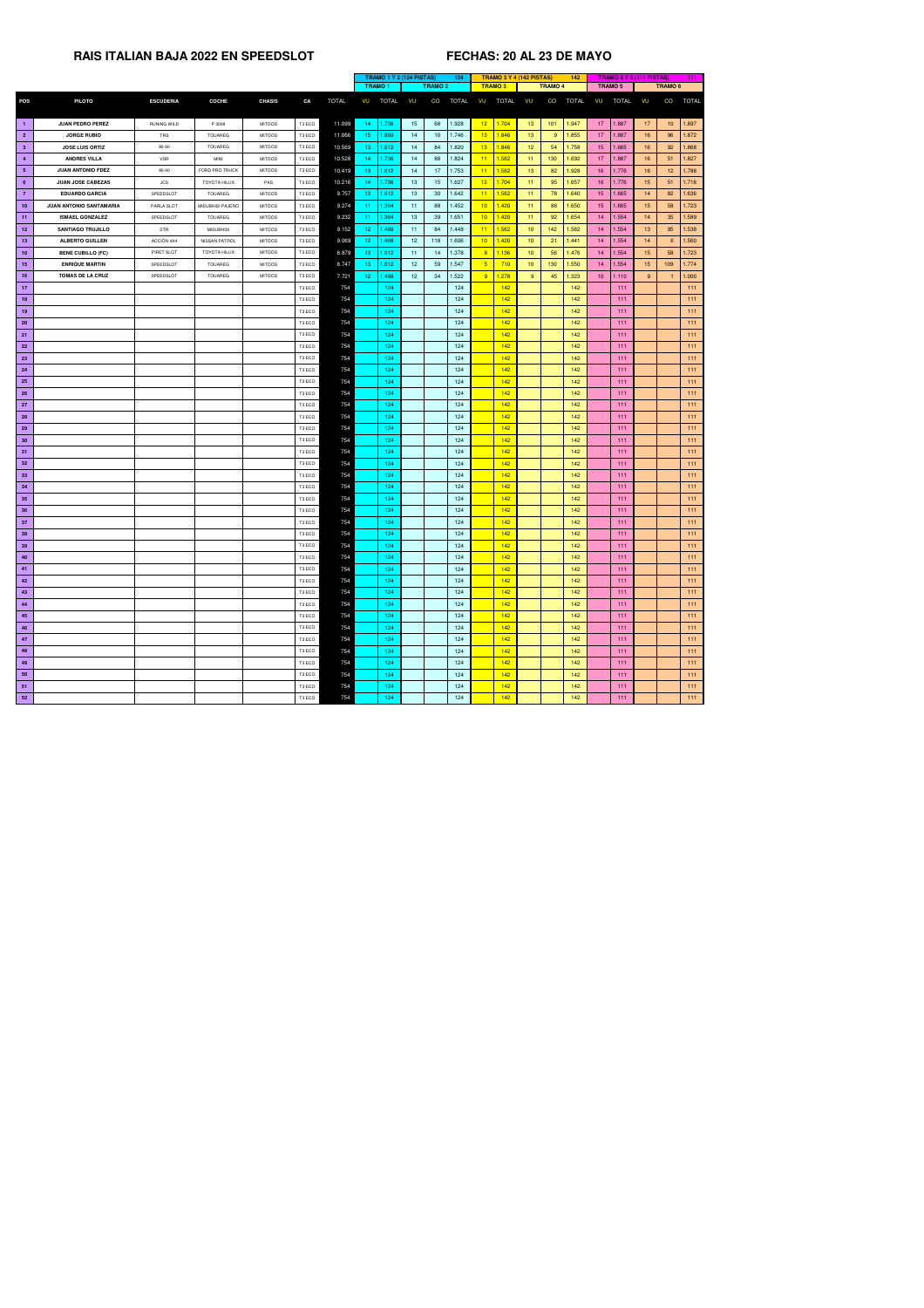|                 |                                |                  |                     |               |                    |              | <b>TRAMO 1 Y 2 (124 PISTAS)</b><br>124 |                 |                          |                 |                | TRAMO 3 Y 4 (142 PISTAS) |                  | 142          |                 |              | <b>TRAMO 5 Y 6 (111 PISTAS)</b> |                 | 111          |
|-----------------|--------------------------------|------------------|---------------------|---------------|--------------------|--------------|----------------------------------------|-----------------|--------------------------|-----------------|----------------|--------------------------|------------------|--------------|-----------------|--------------|---------------------------------|-----------------|--------------|
|                 |                                |                  |                     |               |                    |              | <b>TRAMO 1</b>                         |                 | <b>TRAMO 2</b>           | <b>TRAMO3</b>   |                |                          | <b>TRAMO 4</b>   |              | <b>TRAMO 5</b>  |              |                                 | <b>TRAMO 6</b>  |              |
| <b>POS</b>      | <b>PILOTO</b>                  | <b>ESCUDERIA</b> | <b>COCHE</b>        | <b>CHASIS</b> | CA                 | <b>TOTAL</b> | VU<br><b>TOTAL</b>                     | VU              | CO<br><b>TOTAL</b>       | VU              | TOTAL VU       |                          | CO               | <b>TOTAL</b> | VU              | <b>TOTAL</b> | VU                              | CO              | <b>TOTAL</b> |
|                 |                                |                  |                     |               |                    |              |                                        |                 |                          |                 |                |                          |                  |              |                 |              |                                 |                 |              |
| $\blacksquare$  | <b>JUAN PEDRO PEREZ</b>        | RUNING WILD      | P 3008              | <b>MITOOS</b> | T3 ECO             | 11.099       | 1.736<br>14 <sub>1</sub>               | 15              | 68<br>1.928              |                 | $12$ 1.704     | 13 <sup>°</sup>          | 101              | 1.947        | 17 <sub>2</sub> | 1.887        | 17                              | 10 <sup>1</sup> | 1.897        |
| $\overline{2}$  | <b>JORGE RUBIO</b>             | TRS              | <b>TOUAREG</b>      | <b>MITOOS</b> | T3 ECO             | 11.066       | 15 <sub>1</sub><br>1.860               | 14              | 1.746<br>10 <sup>°</sup> | 13              | 1.846          | 13 <sup>°</sup>          | 9 <sup>°</sup>   | 1.855        | 17 <sup>2</sup> | 1.887        | 16                              | 96              | 1.872        |
| 3 <sup>1</sup>  | <b>JOSE LUIS ORTIZ</b>         | 80-90            | <b>TOUAREG</b>      | <b>MITOOS</b> | T <sub>3</sub> ECO | 10.569       | 13 <sup>7</sup><br>1.612               | 14              | 84<br>1.820              | 13              | 1.846          | 12 <sup>2</sup>          | 54               | 1.758        | 15 <sub>1</sub> | 1.665        | 16                              | 92              | 1.868        |
| $\overline{4}$  | <b>ANDRES VILLA</b>            | <b>VSR</b>       | <b>MINI</b>         | <b>MITOOS</b> | T3 ECO             | 10.528       | 1.736<br>14                            | 14              | 88<br>1.824              | 11              | 1.562          | 11                       | 130 <sub>1</sub> | 1.692        | 17 <sup>°</sup> | 1.887        | 16                              | 51              | 1.827        |
| 5 <sub>5</sub>  | <b>JUAN ANTONIO FDEZ</b>       | 80-90            | FORD PRO TRUCK      | <b>MITOOS</b> | T <sub>3</sub> ECO | 10.419       | 13 <sup>°</sup><br>1.612               | 14              | 17<br>1.753              | 11              | $\vert$ 1.562  | 13 <sup>°</sup>          | 82               | 1.928        | 16 <sup>°</sup> | 1.776        | 16                              | 12 <sub>1</sub> | 1.788        |
| $6^{\circ}$     | <b>JUAN JOSE CABEZAS</b>       | <b>JCS</b>       | <b>TOYOTA HILUX</b> | <b>PKS</b>    | T3 ECO             | 10.216       | 1.736<br>14                            | 13              | 1.627<br>15              | 12              | 1.704          | 11 <sub>1</sub>          | 95               | 1.657        | 16 <sup>1</sup> | 1.776        | 15                              | 51              | 1.716        |
| $\overline{7}$  | <b>EDUARDO GARCIA</b>          | SPEEDSLOT        | TOUAREG             | <b>MITOOS</b> | T3 ECO             | 9.757        | 13 <sub>1</sub><br>1.612               | 13              | 30 <sup>°</sup><br>1.642 | 11              | $\sqrt{1.562}$ | 11                       | 78               | 1.640        | 15 <sub>1</sub> | 1.665        | 14                              | 82              | 1.636        |
| 10 <sub>1</sub> | <b>JUAN ANTONIO SANTAMARIA</b> | PARLA SLOT       | MISUBHISI PAJERO    | <b>MITOOS</b> | T3 ECO             | 9.274        | 1.364<br>11.                           | 11              | 1.452<br>88              | 10 <sup>2</sup> | 1.420          | 11                       | 88               | 1.650        | 15 <sub>1</sub> | 1.665        | 15 <sub>15</sub>                | 58              | 1.723        |
| $-11$           | <b>ISMAEL GONZALEZ</b>         | SPEEDSLOT        | <b>TOUAREG</b>      | <b>MITOOS</b> | T3 ECO             | 9.232        | 1.364<br>11 <sub>1</sub>               | 13              | 39<br>1.651              | 10 <sup>2</sup> | 1.420          | 11 <sub>1</sub>          | 92               | 1.654        | 14              | 1.554        | 14                              | 35              | 1.589        |
| 12              | <b>SANTIAGO TRUJILLO</b>       | <b>STR</b>       | <b>MISUBHISI</b>    | <b>MITOOS</b> | T3 ECO             | 9.152        | 12 <sub>1</sub><br>1.488               | 11              | 84<br>1.448              | 11              | 1.562          | 10 <sup>°</sup>          | 142              | 1.562        | 14              | 1.554        | 13 <sup>°</sup>                 | 95              | 1.538        |
| 13              | <b>ALBERTO GUILLEN</b>         | ACCIÒN 4X4       | NISSAN PATROL       | <b>MITOOS</b> | T3 ECO             | 9.069        | 12 <sub>1</sub><br>1.488               | 12 <sup>7</sup> | 1.606<br>118             | 10 <sup>°</sup> | 1.420          | 10 <sup>°</sup>          | 21               | 1.441        | 14              | 1.554        | 14                              | 6               | 1.560        |
| 10 <sub>1</sub> | <b>BENE CUBILLO (FC)</b>       | PIRET SLOT       | TOYOTA HILUX        | <b>MITOOS</b> | T3 ECO             | 8.879        | 13 <sup>°</sup><br>1.612               | 11              | 1.378<br>14              |                 | $8 \mid 1.136$ | 10 <sub>1</sub>          | 56               | 1.476        | 14              | 1.554        | 15 <sub>15</sub>                | 58              | 1.723        |
| 15              | <b>ENRIQUE MARTIN</b>          | SPEEDSLOT        | <b>TOUAREG</b>      | <b>MITOOS</b> | T3 ECO             | 8.747        | 13 <sup>7</sup><br>1.612               | 12 <sup>7</sup> | 59<br>1.547              | 5 <sup>2</sup>  | 710            | 10 <sup>°</sup>          | 130              | 1.550        | 14              | 1.554        | 15 <sub>15</sub>                | 109             | 1.774        |
| 16              | <b>TOMAS DE LA CRUZ</b>        | SPEEDSLOT        | <b>TOUAREG</b>      | <b>MITOOS</b> | T3 ECO             | 7.721        | 12 <sub>1</sub><br>1.488               | 12 <sub>2</sub> | 1.522<br>34              |                 | 9   1.278      | 9 <sup>°</sup>           | 45               | 1.323        | 10 <sup>°</sup> | 1.110        | 9 <sup>°</sup>                  |                 | 1.000        |
| 17              |                                |                  |                     |               | T3 ECO             | 754          | 124                                    |                 | 124                      |                 | 142            |                          |                  | 142          |                 | 111          |                                 |                 | 111          |
| 18              |                                |                  |                     |               | T3 ECO             | 754          | 124                                    |                 | 124                      |                 | 142            |                          |                  | 142          |                 | 111          |                                 |                 | 111          |
| 19              |                                |                  |                     |               | T3 ECO             | 754          | 124                                    |                 | 124                      |                 | 142            |                          |                  | 142          |                 | 111          |                                 |                 | 111          |
| <b>20</b>       |                                |                  |                     |               | T3 ECO             | 754          | 124                                    |                 | 124                      |                 | 142            |                          |                  | 142          |                 | 111          |                                 |                 | 111          |
| 21              |                                |                  |                     |               | T3 ECO             | 754          | 124                                    |                 | 124                      |                 | 142            |                          |                  | 142          |                 | 111          |                                 |                 | 111          |
| 22              |                                |                  |                     |               | T3 ECO             | 754          | 124                                    |                 | 124                      |                 | 142            |                          |                  | 142          |                 | 111          |                                 |                 | 111          |
| 23              |                                |                  |                     |               | T3 ECO             | 754          | 124                                    |                 | 124                      |                 | 142            |                          |                  | 142          |                 | 111          |                                 |                 | 111          |
| 24              |                                |                  |                     |               | T3 ECO             | 754          | 124                                    |                 | 124                      |                 | 142            |                          |                  | 142          |                 | 111          |                                 |                 | 111          |
| 25              |                                |                  |                     |               | T3 ECO             | 754          | 124                                    |                 | 124                      |                 | 142            |                          |                  | 142          |                 | 111          |                                 |                 | 111          |
| 26              |                                |                  |                     |               | T3 ECO             | 754          | 124                                    |                 | 124                      |                 | 142            |                          |                  | 142          |                 | 111          |                                 |                 | 111          |
| 27              |                                |                  |                     |               | T3 ECO             | 754          | 124                                    |                 | 124                      |                 | 142            |                          |                  | 142          |                 | 111          |                                 |                 | 111          |
| 28              |                                |                  |                     |               | T3 ECO             | 754          | 124                                    |                 | 124                      |                 | 142            |                          |                  | 142          |                 | 111          |                                 |                 | 111          |
| 29              |                                |                  |                     |               | T3 ECO             | 754          | 124                                    |                 | 124                      |                 | 142            |                          |                  | 142          |                 | 111          |                                 |                 | 111          |
| 30 <sub>o</sub> |                                |                  |                     |               | T3 ECO             | 754          | 124                                    |                 | 124                      |                 | 142            |                          |                  | 142          |                 | 111          |                                 |                 | 111          |
| 31              |                                |                  |                     |               | T3 ECO             | 754          | 124                                    |                 | 124                      |                 | 142            |                          |                  | 142          |                 | 111          |                                 |                 | 111          |
| 32 <sub>2</sub> |                                |                  |                     |               | T3 ECO             | 754          | 124                                    |                 | 124                      |                 | 142            |                          |                  | 142          |                 | 111          |                                 |                 | 111          |
| 33 <sub>o</sub> |                                |                  |                     |               | T3 ECO             | 754          | 124                                    |                 | 124                      |                 | 142            |                          |                  | 142          |                 | 111          |                                 |                 | 111          |
| 34              |                                |                  |                     |               |                    | 754          | 124                                    |                 | 124                      |                 | 142            |                          |                  | 142          |                 | 111          |                                 |                 | 111          |
|                 |                                |                  |                     |               | T3 ECO             | 754          | 124                                    |                 | 124                      |                 | 142            |                          |                  | 142          |                 | 111          |                                 |                 | 111          |
| 35 <sub>2</sub> |                                |                  |                     |               | T3 ECO             |              |                                        |                 |                          |                 |                |                          |                  |              |                 |              |                                 |                 |              |
| 36              |                                |                  |                     |               | T3 ECO<br>T3 ECO   | 754<br>754   | 124<br>124                             |                 | 124                      |                 | 142<br>142     |                          |                  | 142          |                 | 111<br>111   |                                 |                 | 111<br>111   |
| 37              |                                |                  |                     |               | T3 ECO             | 754          | 124                                    |                 | 124<br>124               |                 | 142            |                          |                  | 142<br>142   |                 | 111          |                                 |                 | 111          |
| 38              |                                |                  |                     |               | T3 ECO             | 754          | 124                                    |                 |                          |                 | 142            |                          |                  | 142          |                 | 111          |                                 |                 | 111          |
| 39              |                                |                  |                     |               |                    |              |                                        |                 | 124                      |                 |                |                          |                  |              |                 |              |                                 |                 |              |
| 40              |                                |                  |                     |               | T3 ECO             | 754          | 124                                    |                 | 124                      |                 | 142            |                          |                  | 142          |                 | 111          |                                 |                 | 111          |
| 41              |                                |                  |                     |               | T3 ECO             | 754          | 124                                    |                 | 124                      |                 | 142            |                          |                  | 142          |                 | 111          |                                 |                 | 111          |
| 42              |                                |                  |                     |               | T3 ECO             | 754          | 124                                    |                 | 124                      |                 | 142            |                          |                  | 142          |                 | 111          |                                 |                 | 111          |
| 43              |                                |                  |                     |               | T3 ECO             | 754          | 124                                    |                 | 124                      |                 | 142            |                          |                  | 142          |                 | 111          |                                 |                 | 111          |
| 44              |                                |                  |                     |               | T3 ECO             | 754          | 124                                    |                 | 124                      |                 | 142            |                          |                  | 142          |                 | 111          |                                 |                 | 111          |
| 45              |                                |                  |                     |               | T3 ECO             | 754          | 124                                    |                 | 124                      |                 | 142            |                          |                  | 142          |                 | 111          |                                 |                 | 111          |
| 46              |                                |                  |                     |               | T3 ECO             | 754          | 124                                    |                 | 124                      |                 | 142            |                          |                  | 142          |                 | 111          |                                 |                 | 111          |
| 47              |                                |                  |                     |               | T3 ECO             | 754          | 124                                    |                 | 124                      |                 | 142            |                          |                  | 142          |                 | 111          |                                 |                 | 111          |
| 48              |                                |                  |                     |               | T3 ECO             | 754          | 124                                    |                 | 124                      |                 | 142            |                          |                  | 142          |                 | 111          |                                 |                 | 111          |
| 49              |                                |                  |                     |               | T3 ECO             | 754          | 124                                    |                 | 124                      |                 | 142            |                          |                  | 142          |                 | 111          |                                 |                 | 111          |
| 50              |                                |                  |                     |               | T3 ECO             | 754          | 124                                    |                 | 124                      |                 | 142            |                          |                  | 142          |                 | 111          |                                 |                 | 111          |
| 51              |                                |                  |                     |               | T3 ECO             | 754          | 124                                    |                 | 124                      |                 | 142            |                          |                  | 142          |                 | 111          |                                 |                 | 111          |
| 52              |                                |                  |                     |               | T3 ECO             | 754          | 124                                    |                 | 124                      |                 | 142            |                          |                  | 142          |                 | 111          |                                 |                 | 111          |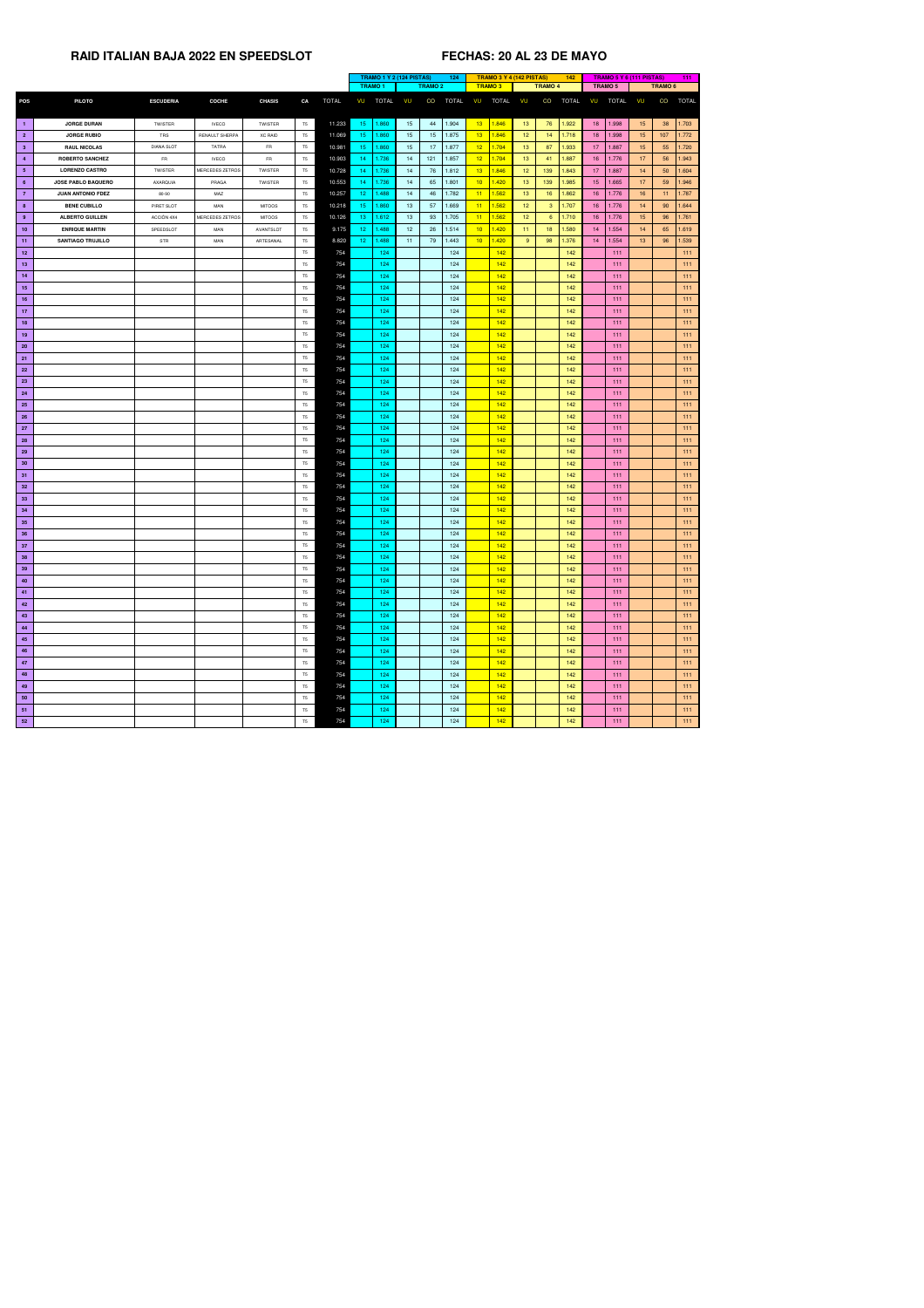|                 |                           |                   |                 |                |                |              | <b>TRAMO 1 Y 2 (124 PISTAS)</b><br>124 |               |                  | <b>TRAMO 3 Y 4 (142 PISTAS)</b> |              |                          | 142             |                 |              | <b>TRAMO 5 Y 6 (111 PISTAS)</b> |                | 111              |                |              |
|-----------------|---------------------------|-------------------|-----------------|----------------|----------------|--------------|----------------------------------------|---------------|------------------|---------------------------------|--------------|--------------------------|-----------------|-----------------|--------------|---------------------------------|----------------|------------------|----------------|--------------|
|                 |                           |                   |                 |                |                |              |                                        | <b>TRAMO1</b> |                  | <b>TRAMO 2</b>                  |              | <b>TRAMO3</b>            |                 | <b>TRAMO 4</b>  |              |                                 | <b>TRAMO 5</b> |                  | <b>TRAMO 6</b> |              |
| <b>POS</b>      | <b>PILOTO</b>             | <b>ESCUDERIA</b>  | <b>COCHE</b>    | <b>CHASIS</b>  | CA             | <b>TOTAL</b> | VU                                     | <b>TOTAL</b>  | VU               | CO                              | <b>TOTAL</b> | <b>TOTAL</b><br>VU       | VU              | CO              | <b>TOTAL</b> | VU                              | <b>TOTAL</b>   | <b>VU</b>        | CO             | <b>TOTAL</b> |
|                 |                           |                   |                 |                |                |              |                                        |               |                  |                                 |              |                          |                 |                 |              |                                 |                |                  |                |              |
| п.              | <b>JORGE DURAN</b>        | <b>TWISTER</b>    | <b>IVECO</b>    | <b>TWISTER</b> | T <sub>5</sub> | 11.233       | 15 <sub>1</sub>                        | 1.860         | 15 <sub>15</sub> | 44                              | 1.904        | 13 <sub>z</sub><br>1.846 | 13 <sup>°</sup> | 76              | 1.922        | 18                              | 1.998          | 15 <sub>15</sub> | 38             | 1.703        |
| 2 <sup>7</sup>  | <b>JORGE RUBIO</b>        | TRS               | RENAULT SHERPA  | <b>XC RAID</b> | T <sub>5</sub> | 11.069       | 15 <sub>1</sub>                        | 1.860         | 15 <sub>15</sub> | 15                              | 1.875        | 13 <sup>°</sup><br>1.846 | 12 <sub>2</sub> | 14              | 1.718        | 18 <sup>°</sup>                 | 1.998          | 15               | 107            | 1.772        |
| 3 <sup>1</sup>  | <b>RAUL NICOLAS</b>       | <b>DIANA SLOT</b> | <b>TATRA</b>    | FR             | T <sub>5</sub> | 10.981       | 15 <sub>1</sub>                        | 1.860         | 15 <sub>1</sub>  | 17                              | 1.877        | 12<br>1.704              | 13 <sup>°</sup> | 87              | 1.933        | 17 <sub>2</sub>                 | 1.887          | 15 <sub>15</sub> | 55             | 1.720        |
| -4              | <b>ROBERTO SANCHEZ</b>    | <b>FR</b>         | <b>IVECO</b>    | <b>FR</b>      | T <sub>5</sub> | 10.903       | 14 <sup>1</sup>                        | 1.736         | 14               | 121                             | 1.857        | 12 <sup>7</sup><br>1.704 | 13              | 41              | 1.887        | 16 <sup>°</sup>                 | 1.776          | 17 <sup>2</sup>  | 56             | 1.943        |
| 5 <sub>1</sub>  | <b>LORENZO CASTRO</b>     | <b>TWISTER</b>    | MERCEDES ZETROS | <b>TWISTER</b> | T <sub>5</sub> | 10.728       | 14                                     | 1.736         | 14               | 76                              | 1.812        | 13 <sup>°</sup><br>1.846 | 12 <sub>1</sub> | 139             | 1.843        | 17 <sup>2</sup>                 | 1.887          | 14               | 50             | 1.604        |
| $6^{\circ}$     | <b>JOSE PABLO BAQUERO</b> | AXARQUIA          | PRAGA           | <b>TWISTER</b> | T <sub>5</sub> | 10.553       | 14 <sup>1</sup>                        | 1.736         | 14               | 65                              | 1.801        | 10<br>1.420              | 13              | 139             | 1.985        | 15 <sub>1</sub>                 | 1.665          | 17 <sup>2</sup>  | 59             | 1.946        |
| 7 <sup>7</sup>  | <b>JUAN ANTONIO FDEZ</b>  | 80-90             | MAZ             |                | T <sub>5</sub> | 10.257       | 12 <sub>1</sub>                        | 1.488         | 14               | 46                              | 1.782        | 11<br>1.562              | 13              | 16              | 1.862        | 16 <sup>°</sup>                 | 1.776          | 16               | 11             | 1.787        |
| 8 <sup>°</sup>  | <b>BENE CUBILLO</b>       | PIRET SLOT        | <b>MAN</b>      | <b>MITOOS</b>  | T <sub>5</sub> | 10.218       | 15 <sub>1</sub>                        | 1.860         | 13 <sup>7</sup>  | 57                              | 1.669        | 11<br>1.562              | 12 <sub>2</sub> | 3 <sup>°</sup>  | 1.707        | 16 <sup>1</sup>                 | 1.776          | 14               | 90             | 1.644        |
| $9^{\circ}$     | <b>ALBERTO GUILLEN</b>    | ACCIÒN 4X4        | MERCEDES ZETROS | <b>MITOOS</b>  | T <sub>5</sub> | 10.126       | 13 <sub>1</sub>                        | 1.612         | 13 <sup>7</sup>  | 93                              | 1.705        | 11<br>1.562              | 12 <sup>7</sup> | $6^{\circ}$     | 1.710        | 16 <sup>°</sup>                 | 1.776          | 15 <sub>15</sub> | 96             | 1.761        |
| 10 <sub>1</sub> | <b>ENRIQUE MARTIN</b>     | SPEEDSLOT         | MAN             | AVANTSLOT      | T <sub>5</sub> | 9.175        | 12 <sub>1</sub>                        | 1.488         | 12 <sub>2</sub>  | 26                              | 1.514        | 10<br>1.420              | 11 <sub>1</sub> | 18 <sup>°</sup> | 1.580        | 14                              | 1.554          | 14               | 65             | 1.619        |
| 11 <sub>1</sub> | <b>SANTIAGO TRUJILLO</b>  | STR               | <b>MAN</b>      | ARTESANAL      | T <sub>5</sub> | 8.820        | 12 <sub>1</sub>                        | 1.488         | 11               | 79                              | 1.443        | 10<br>1.420              | 9 <sup>°</sup>  | 98              | 1.376        | 14                              | 1.554          | 13 <sup>°</sup>  | 96             | 1.539        |
| 12 <sub>2</sub> |                           |                   |                 |                | T <sub>5</sub> | 754          |                                        | 124           |                  |                                 | 124          | 142                      |                 |                 | 142          |                                 | 111            |                  |                | 111          |
| 13              |                           |                   |                 |                | T <sub>5</sub> | 754          |                                        | 124           |                  |                                 | 124          | 142                      |                 |                 | 142          |                                 | 111            |                  |                | 111          |
| 14              |                           |                   |                 |                | T <sub>5</sub> | 754          |                                        | 124           |                  |                                 | 124          | 142                      |                 |                 | 142          |                                 | 111            |                  |                | 111          |
| 15              |                           |                   |                 |                | T <sub>5</sub> | 754          |                                        | 124           |                  |                                 | 124          | 142                      |                 |                 | 142          |                                 | 111            |                  |                | 111          |
| 16              |                           |                   |                 |                | T <sub>5</sub> | 754          |                                        | 124           |                  |                                 | 124          | 142                      |                 |                 | 142          |                                 | 111            |                  |                | 111          |
| 17 <sub>2</sub> |                           |                   |                 |                | T <sub>5</sub> | 754          |                                        | 124           |                  |                                 | 124          | 142                      |                 |                 | 142          |                                 | 111            |                  |                | 111          |
| 18              |                           |                   |                 |                | T <sub>5</sub> | 754          |                                        | 124           |                  |                                 | 124          | 142                      |                 |                 | 142          |                                 | $111$          |                  |                | 111          |
| 19 <sub>1</sub> |                           |                   |                 |                | T <sub>5</sub> | 754          |                                        | 124           |                  |                                 | 124          | 142                      |                 |                 | 142          |                                 | 111            |                  |                | 111          |
| 20 <sub>2</sub> |                           |                   |                 |                | T <sub>5</sub> | 754          |                                        | 124           |                  |                                 | 124          | 142                      |                 |                 | 142          |                                 | 111            |                  |                | 111          |
| 21              |                           |                   |                 |                | T <sub>5</sub> | 754          |                                        | 124           |                  |                                 | 124          | 142                      |                 |                 | 142          |                                 | 111            |                  |                | 111          |
| 22 <sub>2</sub> |                           |                   |                 |                | T5             | 754          |                                        | 124           |                  |                                 | 124          | 142                      |                 |                 | 142          |                                 | 111            |                  |                | 111          |
| 23              |                           |                   |                 |                | T <sub>5</sub> | 754          |                                        | 124           |                  |                                 | 124          | 142                      |                 |                 | 142          |                                 | 111            |                  |                | 111          |
| 24              |                           |                   |                 |                | T <sub>5</sub> | 754          |                                        | 124           |                  |                                 | 124          | 142                      |                 |                 | 142          |                                 | 111            |                  |                | 111          |
| 25              |                           |                   |                 |                | T <sub>5</sub> | 754          |                                        | 124           |                  |                                 | 124          | 142                      |                 |                 | 142          |                                 | 111            |                  |                | 111          |
| 26              |                           |                   |                 |                | T <sub>5</sub> | 754          |                                        | 124           |                  |                                 | 124          | 142                      |                 |                 | 142          |                                 | 111            |                  |                | 111          |
| 27 <sub>z</sub> |                           |                   |                 |                | T <sub>5</sub> | 754          |                                        | 124           |                  |                                 | 124          | 142                      |                 |                 | 142          |                                 | 111            |                  |                | 111          |
| 28              |                           |                   |                 |                | T <sub>5</sub> | 754          |                                        | 124           |                  |                                 | 124          | 142                      |                 |                 | 142          |                                 | 111            |                  |                | 111          |
| 29              |                           |                   |                 |                | T <sub>5</sub> | 754          |                                        | 124           |                  |                                 | 124          | 142                      |                 |                 | 142          |                                 | 111            |                  |                | 111          |
| 30 <sub>o</sub> |                           |                   |                 |                | T <sub>5</sub> | 754          |                                        | 124           |                  |                                 | 124          | 142                      |                 |                 | 142          |                                 | 111            |                  |                | 111          |
| 31              |                           |                   |                 |                | T <sub>5</sub> | 754          |                                        | 124           |                  |                                 | 124          | 142                      |                 |                 | 142          |                                 | 111            |                  |                | 111          |
| 32 <sub>2</sub> |                           |                   |                 |                | T <sub>5</sub> | 754          |                                        | 124           |                  |                                 | 124          | 142                      |                 |                 | 142          |                                 | 111            |                  |                | 111          |
| 33              |                           |                   |                 |                | T <sub>5</sub> | 754          |                                        | 124           |                  |                                 | 124          | 142                      |                 |                 | 142          |                                 | 111            |                  |                | 111          |
| 34              |                           |                   |                 |                | T <sub>5</sub> | 754          |                                        | 124           |                  |                                 | 124          | 142                      |                 |                 | 142          |                                 | 111            |                  |                | 111          |
| 35 <sub>2</sub> |                           |                   |                 |                | T <sub>5</sub> | 754          |                                        | 124           |                  |                                 | 124          | 142                      |                 |                 | 142          |                                 | 111            |                  |                | 111          |
| 36 <sup>°</sup> |                           |                   |                 |                | T <sub>5</sub> | 754          |                                        | 124           |                  |                                 | 124          | 142                      |                 |                 | 142          |                                 | 111            |                  |                | 111          |
| 37 <sub>2</sub> |                           |                   |                 |                | T <sub>5</sub> | 754          |                                        | 124           |                  |                                 | 124          | 142                      |                 |                 | 142          |                                 | 111            |                  |                | 111          |
| 38              |                           |                   |                 |                | T <sub>5</sub> | 754          |                                        | 124           |                  |                                 | 124          | 142                      |                 |                 | 142          |                                 | 111            |                  |                | 111          |
| 39              |                           |                   |                 |                | T <sub>5</sub> | 754          |                                        | 124           |                  |                                 | 124          | 142                      |                 |                 | 142          |                                 | 111            |                  |                | 111          |
| 40              |                           |                   |                 |                | T <sub>5</sub> | 754          |                                        | 124           |                  |                                 | 124          | 142                      |                 |                 | 142          |                                 | 111            |                  |                | 111          |
| 41              |                           |                   |                 |                | T <sub>5</sub> | 754          |                                        | 124           |                  |                                 | 124          | 142                      |                 |                 | 142          |                                 | 111            |                  |                | 111          |
| 42              |                           |                   |                 |                | T <sub>5</sub> | 754          |                                        | 124           |                  |                                 | 124          | 142                      |                 |                 | 142          |                                 | 111            |                  |                | 111          |
| 43              |                           |                   |                 |                | T <sub>5</sub> | 754          |                                        | 124           |                  |                                 | 124          | 142                      |                 |                 | 142          |                                 | 111            |                  |                | 111          |
| 44              |                           |                   |                 |                | T5             | 754          |                                        | 124           |                  |                                 | 124          | 142                      |                 |                 | 142          |                                 | 111            |                  |                | 111          |
| 45              |                           |                   |                 |                | T <sub>5</sub> | 754          |                                        | 124           |                  |                                 | 124          | 142                      |                 |                 | 142          |                                 | 111            |                  |                | 111          |
| 46              |                           |                   |                 |                | T <sub>5</sub> | 754          |                                        | 124           |                  |                                 | 124          | 142                      |                 |                 | 142          |                                 | 111            |                  |                | 111          |
| 47              |                           |                   |                 |                | T <sub>5</sub> | 754          |                                        | 124           |                  |                                 | 124          | 142                      |                 |                 | 142          |                                 | 111            |                  |                | 111          |
| 48              |                           |                   |                 |                | T <sub>5</sub> | 754          |                                        | 124           |                  |                                 | 124          | 142                      |                 |                 | 142          |                                 | 111            |                  |                | 111          |
| 49              |                           |                   |                 |                | T <sub>5</sub> | 754          |                                        | 124           |                  |                                 | 124          | 142                      |                 |                 | 142          |                                 | 111            |                  |                | 111          |
| 50 <sub>2</sub> |                           |                   |                 |                | T <sub>5</sub> | 754          |                                        | 124           |                  |                                 | 124          | 142                      |                 |                 | 142          |                                 | 111            |                  |                | 111          |
| 51              |                           |                   |                 |                | T <sub>5</sub> | 754          |                                        | 124           |                  |                                 | 124          | 142                      |                 |                 | 142          |                                 | 111            |                  |                | 111          |
| 52 <sub>2</sub> |                           |                   |                 |                | T5             | 754          |                                        | 124           |                  |                                 | 124          | 142                      |                 |                 | 142          |                                 | 111            |                  |                | 111          |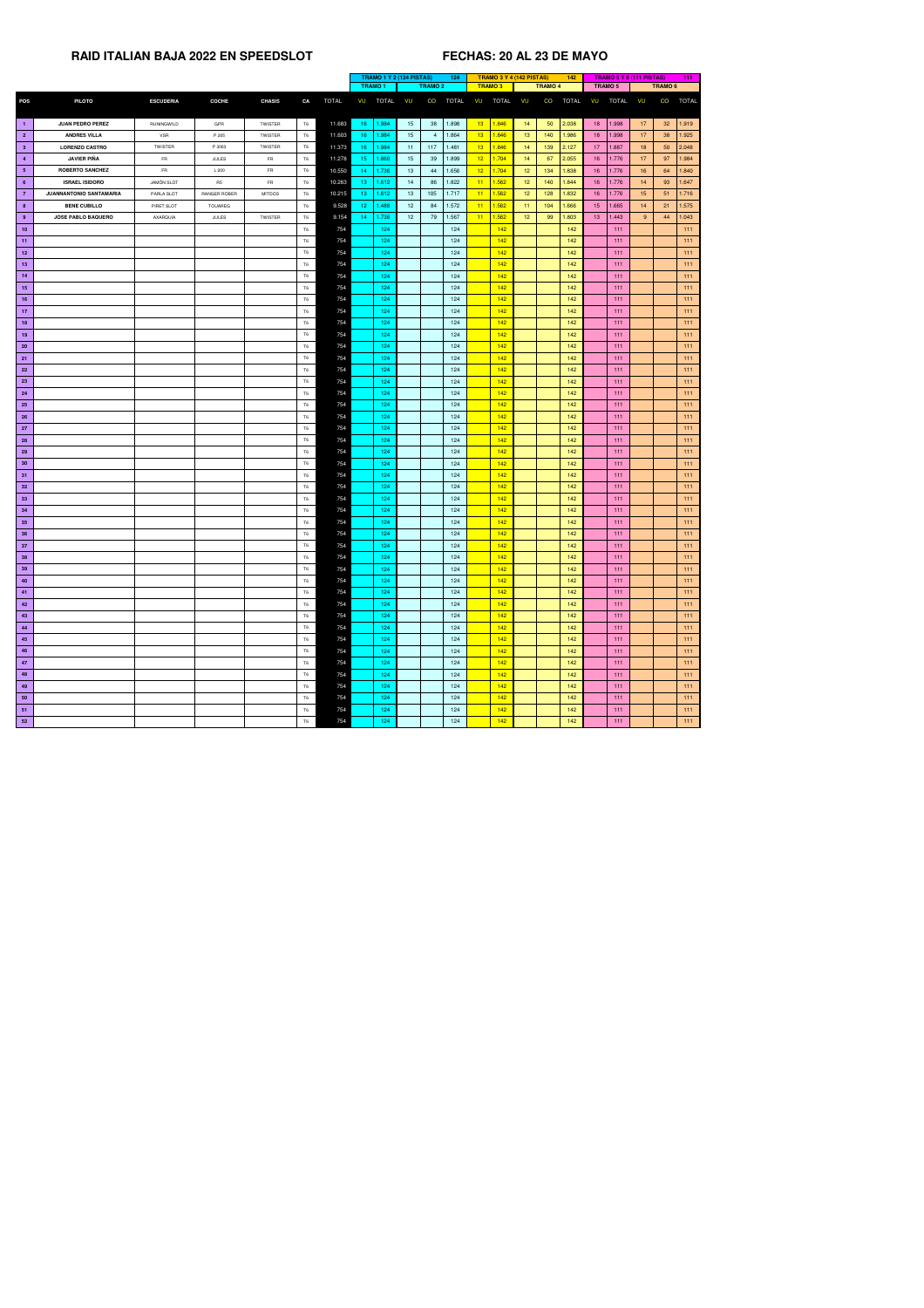|                         |                                |                   |                |                |                |              | <b>TRAMO 1 Y 2 (124 PISTAS)</b><br>124 |               |                 |                | <b>TRAMO 3 Y 4 (142 PISTAS)</b> |                 |                  | 142             |                | <b>TRAMO 5 Y 6 (111 PISTAS)</b> |                 |              | 111             |                    |              |
|-------------------------|--------------------------------|-------------------|----------------|----------------|----------------|--------------|----------------------------------------|---------------|-----------------|----------------|---------------------------------|-----------------|------------------|-----------------|----------------|---------------------------------|-----------------|--------------|-----------------|--------------------|--------------|
|                         |                                |                   |                |                |                |              |                                        | <b>TRAMO1</b> |                 | <b>TRAMO 2</b> |                                 |                 | <b>TRAMO3</b>    |                 | <b>TRAMO 4</b> |                                 |                 | TRAMO 5      |                 | TRAMO <sub>6</sub> |              |
| <b>POS</b>              | <b>PILOTO</b>                  | <b>ESCUDERIA</b>  | <b>COCHE</b>   | <b>CHASIS</b>  | CA             | <b>TOTAL</b> | VU                                     | <b>TOTAL</b>  | VU              | CO             | <b>TOTAL</b>                    | VU              | <b>TOTAL</b>     | VU              | CO             | <b>TOTAL</b>                    | VU              | <b>TOTAL</b> | VU              | CO                 | <b>TOTAL</b> |
|                         |                                |                   |                |                |                |              |                                        |               |                 |                |                                 |                 |                  |                 |                |                                 |                 |              |                 |                    |              |
| $\blacksquare$ 1        | <b>JUAN PEDRO PEREZ</b>        | RUNINGWILD        | GPR            | <b>TWISTER</b> | <b>T6</b>      | 11.683       | 16                                     | 1.984         | 15              | 38             | 1.898                           | 13              | 1.846            | 14              | 50             | 2.038                           | 18              | 1.998        | 17              | 32 <sup>°</sup>    | 1.919        |
| $\overline{\mathbf{2}}$ | <b>ANDRES VILLA</b>            | <b>VSR</b>        | P 205          | TWISTER        | T6             | 11.603       | 16 <sup>°</sup>                        | 1.984         | 15              | 4              | 1.864                           | 13 <sup>°</sup> | 1.846            | 13 <sup>°</sup> | 140            | 1.986                           | 18 <sup>7</sup> | 1.998        | 17 <sub>2</sub> | 38                 | 1.925        |
| 3 <sup>2</sup>          | <b>LORENZO CASTRO</b>          | <b>TWISTER</b>    | P 3003         | TWISTER        | T6             | 11.373       | 16                                     | 1.984         | 11              | 117            | 1.481                           | 13 <sup>°</sup> | 1.846            | 14              | 139            | 2.127                           | 17 <sup>2</sup> | 1.887        | 18              | 50                 | 2.048        |
| $\overline{4}$          | <b>JAVIER PIÑA</b>             | <b>FR</b>         | <b>JULES</b>   | <b>FR</b>      | T6             | 11.278       | 15 <sub>1</sub>                        | 1.860         | 15              | 39             | 1.899                           | 12 <sup>7</sup> | 1.704            | 14              | 67             | 2.055                           | 16              | 1.776        | 17 <sub>2</sub> | 97                 | 1.984        |
| 5 <sub>5</sub>          | <b>ROBERTO SANCHEZ</b>         | <b>FR</b>         | L 200          | <b>FR</b>      | <b>T6</b>      |              |                                        |               | 13              |                | 1.656                           | 12 <sub>2</sub> | 1.704            |                 |                |                                 |                 |              |                 |                    |              |
|                         |                                |                   |                |                |                | 10.550       | 14                                     | 1.736         |                 | 44             |                                 |                 |                  | 12 <sup>°</sup> | 134            | 1.838                           | 16              | 1.776        | 16 <sup>°</sup> | 64                 | 1.840        |
| $6^{\circ}$             | <b>ISRAEL ISIDORO</b>          | <b>JAMÒN SLOT</b> | R <sub>5</sub> | FR.            | <b>T6</b>      | 10.263       | 13 <sub>1</sub>                        | 1.612         | 14              | 86             | 1.822                           | 11              | 1.562            | 12 <sub>2</sub> | 140            | 1.844                           | 16              | 1.776        | 14              | 93                 | 1.647        |
| $\overline{7}$          | <b>JUANNANTONIO SANTAMARIA</b> | PARLA SLOT        | RANGER ROBER   | <b>MITOOS</b>  | T6             | 10.215       | 13                                     | 1.612         | 13              | 105            | 1.717                           | 11              | 1.562            | 12 <sub>2</sub> | 128            | 1.832                           | 16              | 1.776        | 15 <sub>1</sub> | 51                 | 1.716        |
| 8 <sup>°</sup>          | <b>BENE CUBILLO</b>            | PIRET SLOT        | <b>TOUAREG</b> |                | <b>T6</b>      | 9.528        | 12                                     | .488          | 12 <sub>2</sub> | 84             | 1.572                           | 11              | 1.562            | 11              | 104            | 1.666                           | 15 <sub>2</sub> | 1.665        | 14              | 21                 | 1.575        |
| 9                       | <b>JOSE PABLO BAQUERO</b>      | AXARQUIA          | <b>JULES</b>   | <b>TWISTER</b> | T <sub>6</sub> | 9.154        | $\overline{14}$                        | 1.736         | 12 <sup>7</sup> | 79             | 1.567                           | 11              | 1.562            | 12 <sub>1</sub> | 99             | 1.803                           | 13 <sup>7</sup> | 1.443        | 9 <sup>°</sup>  | 44                 | 1.043        |
| 10                      |                                |                   |                |                | <b>T6</b>      | 754          |                                        | 124           |                 |                | 124                             |                 | 142              |                 |                | 142                             |                 | 111          |                 |                    | 111          |
| 11                      |                                |                   |                |                | T6             | 754          |                                        | 124           |                 |                | 124                             |                 | 142              |                 |                | 142                             |                 | 111          |                 |                    | 111          |
| 12                      |                                |                   |                |                | T <sub>6</sub> | 754          |                                        | 124           |                 |                | 124                             |                 | 142              |                 |                | 142                             |                 | 111          |                 |                    | 111          |
| 13                      |                                |                   |                |                | T6             | 754          |                                        | 124           |                 |                | 124                             |                 | 142              |                 |                | 142                             |                 | 111          |                 |                    | 111          |
| 14                      |                                |                   |                |                | <b>T6</b>      | 754          |                                        | 124           |                 |                | 124                             |                 | 142              |                 |                | 142                             |                 | 111          |                 |                    | 111          |
| 15                      |                                |                   |                |                | <b>T6</b>      | 754          |                                        | 124           |                 |                | 124                             |                 | 142              |                 |                | 142                             |                 | 111          |                 |                    | 111          |
| 16                      |                                |                   |                |                | T <sub>6</sub> | 754          |                                        | 124           |                 |                | 124                             |                 | 142              |                 |                | 142                             |                 | 111          |                 |                    | 111          |
| 17                      |                                |                   |                |                | T <sub>6</sub> | 754          |                                        | 124           |                 |                | 124                             |                 | 142              |                 |                | 142                             |                 | 111          |                 |                    | 111          |
| 18                      |                                |                   |                |                | <b>T6</b>      | 754          |                                        | 124           |                 |                | 124                             |                 | 142              |                 |                | 142                             |                 | 111          |                 |                    | 111          |
| 19                      |                                |                   |                |                | T6             | 754          |                                        | 124           |                 |                | 124                             |                 | 142              |                 |                | 142                             |                 | 111          |                 |                    | 111          |
| <b>20</b>               |                                |                   |                |                | T6             | 754          |                                        | 124           |                 |                | 124                             |                 | 142              |                 |                | 142                             |                 | 111          |                 |                    | 111          |
| 21                      |                                |                   |                |                | <b>T6</b>      | 754          |                                        | 124           |                 |                | 124                             |                 | 142              |                 |                | 142                             |                 | 111          |                 |                    | 111          |
| <b>22</b>               |                                |                   |                |                | T6             | 754          |                                        | 124           |                 |                | 124                             |                 | 142              |                 |                | 142                             |                 | 111          |                 |                    | 111          |
| 23                      |                                |                   |                |                | <b>T6</b>      | 754          |                                        | 124           |                 |                | 124                             |                 | 142              |                 |                | 142                             |                 | 111          |                 |                    | 111          |
| 24                      |                                |                   |                |                |                |              |                                        |               |                 |                |                                 |                 |                  |                 |                |                                 |                 |              |                 |                    | 111          |
|                         |                                |                   |                |                | <b>T6</b>      | 754          |                                        | 124           |                 |                | 124                             |                 | 142              |                 |                | 142                             |                 | 111          |                 |                    |              |
| <b>25</b>               |                                |                   |                |                | T6             | 754          |                                        | 124           |                 |                | 124                             |                 | 142              |                 |                | 142                             |                 | 111          |                 |                    | 111          |
| 26                      |                                |                   |                |                | <b>T6</b>      | 754          |                                        | 124           |                 |                | 124                             |                 | 142              |                 |                | 142                             |                 | 111          |                 |                    | 111          |
| 27                      |                                |                   |                |                | T6             | 754          |                                        | 124           |                 |                | 124                             |                 | 142              |                 |                | 142                             |                 | 111          |                 |                    | 111          |
| 28                      |                                |                   |                |                | T6             | 754          |                                        | 124           |                 |                | 124                             |                 | 142              |                 |                | 142                             |                 | 111          |                 |                    | 111          |
| 29                      |                                |                   |                |                | T6             | 754          |                                        | 124           |                 |                | 124                             |                 | 142              |                 |                | 142                             |                 | 111          |                 |                    | 111          |
| 30                      |                                |                   |                |                | <b>T6</b>      | 754          |                                        | 124           |                 |                | 124                             |                 | 142              |                 |                | 142                             |                 | 111          |                 |                    | 111          |
| 31                      |                                |                   |                |                | <b>T6</b>      | 754          |                                        | 124           |                 |                | 124                             |                 | 142              |                 |                | 142                             |                 | 111          |                 |                    | 111          |
| 32                      |                                |                   |                |                | <b>T6</b>      | 754          |                                        | 124           |                 |                | 124                             |                 | 142              |                 |                | 142                             |                 | 111          |                 |                    | 111          |
| 33                      |                                |                   |                |                | <b>T6</b>      | 754          |                                        | 124           |                 |                | 124                             |                 | 142              |                 |                | 142                             |                 | 111          |                 |                    | 111          |
| 34                      |                                |                   |                |                | T6             | 754          |                                        | 124           |                 |                | 124                             |                 | 142              |                 |                | 142                             |                 | 111          |                 |                    | 111          |
| 35                      |                                |                   |                |                | <b>T6</b>      | 754          |                                        | 124           |                 |                | 124                             |                 | 142              |                 |                | 142                             |                 | 111          |                 |                    | 111          |
| 36                      |                                |                   |                |                | T6             | 754          |                                        | 124           |                 |                | 124                             |                 | 142              |                 |                | 142                             |                 | 111          |                 |                    | 111          |
| 37                      |                                |                   |                |                | T6             | 754          |                                        | 124           |                 |                | 124                             |                 | 142              |                 |                | 142                             |                 | 111          |                 |                    | 111          |
| 38                      |                                |                   |                |                | T6             | 754          |                                        | 124           |                 |                | 124                             |                 | 142              |                 |                | 142                             |                 | 111          |                 |                    | 111          |
| 39                      |                                |                   |                |                | <b>T6</b>      | 754          |                                        | 124           |                 |                | 124                             |                 | 142 <sub>1</sub> |                 |                | 142                             |                 | 111          |                 |                    | 111          |
| 40                      |                                |                   |                |                | T6             | 754          |                                        | 124           |                 |                | 124                             |                 | 142              |                 |                | 142                             |                 | 111          |                 |                    | 111          |
| 41                      |                                |                   |                |                | <b>T6</b>      | 754          |                                        | 124           |                 |                | 124                             |                 | 142              |                 |                | 142                             |                 | 111          |                 |                    | 111          |
| 42                      |                                |                   |                |                | <b>T6</b>      | 754          |                                        | 124           |                 |                | 124                             |                 | 142              |                 |                | 142                             |                 | 111          |                 |                    | 111          |
| 43                      |                                |                   |                |                | <b>T6</b>      | 754          |                                        | 124           |                 |                | 124                             |                 | 142              |                 |                | 142                             |                 | 111          |                 |                    | 111          |
| 44                      |                                |                   |                |                | T6             | 754          |                                        | 124           |                 |                | 124                             |                 | 142              |                 |                | 142                             |                 | 111          |                 |                    | 111          |
| 45                      |                                |                   |                |                | T <sub>6</sub> | 754          |                                        | 124           |                 |                | 124                             |                 | 142              |                 |                | 142                             |                 | 111          |                 |                    | 111          |
|                         |                                |                   |                |                |                |              |                                        |               |                 |                |                                 |                 |                  |                 |                |                                 |                 |              |                 |                    |              |
| 46                      |                                |                   |                |                | <b>T6</b>      | 754          |                                        | 124           |                 |                | 124                             |                 | 142              |                 |                | 142                             |                 | 111          |                 |                    | 111          |
| 47                      |                                |                   |                |                | T6             | 754          |                                        | 124           |                 |                | 124                             |                 | 142              |                 |                | 142                             |                 | $111$        |                 |                    | 111          |
| 48                      |                                |                   |                |                | T6             | 754          |                                        | 124           |                 |                | 124                             |                 | 142              |                 |                | 142                             |                 | 111          |                 |                    | 111          |
| 49                      |                                |                   |                |                | <b>T6</b>      | 754          |                                        | 124           |                 |                | 124                             |                 | 142              |                 |                | 142                             |                 | 111          |                 |                    | 111          |
| 50                      |                                |                   |                |                | <b>T6</b>      | 754          |                                        | 124           |                 |                | 124                             |                 | 142              |                 |                | 142                             |                 | 111          |                 |                    | 111          |
| 51                      |                                |                   |                |                | T6             | 754          |                                        | 124           |                 |                | 124                             |                 | 142              |                 |                | 142                             |                 | 111          |                 |                    | 111          |
| 52                      |                                |                   |                |                | <b>T6</b>      | 754          |                                        | 124           |                 |                | 124                             |                 | 142              |                 |                | 142                             |                 | 111          |                 |                    | 111          |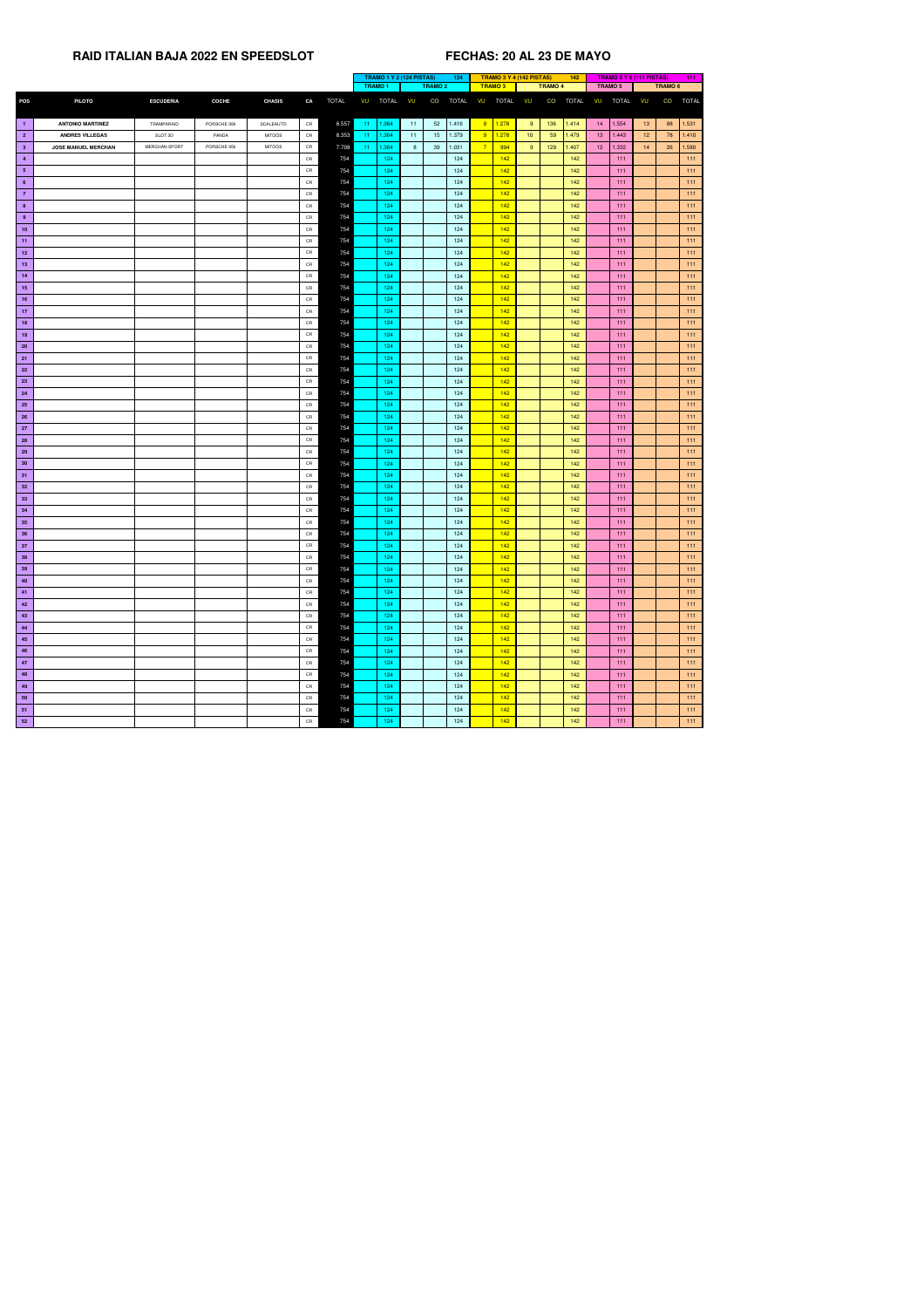|                 |                            |                      |              |               |            |              |               |              | <b>TRAMO 1 Y 2 (124 PISTAS)</b> | 124                |                |               | TRAMO 3 Y 4 (142 PISTAS) | 142   |                 |          | TRAMO 5 Y 6 (111 PISTAS) |         | 111          |
|-----------------|----------------------------|----------------------|--------------|---------------|------------|--------------|---------------|--------------|---------------------------------|--------------------|----------------|---------------|--------------------------|-------|-----------------|----------|--------------------------|---------|--------------|
|                 |                            |                      |              |               |            |              | <b>TRAMO1</b> |              |                                 | <b>TRAMO 2</b>     |                | <b>TRAMO3</b> | <b>TRAMO 4</b>           |       | TRAMO 5         |          |                          | TRAMO 6 |              |
| <b>POS</b>      | <b>PILOTO</b>              | <b>ESCUDERIA</b>     | <b>COCHE</b> | <b>CHASIS</b> | CA         | <b>TOTAL</b> | VU            | <b>TOTAL</b> | VU                              | CO<br><b>TOTAL</b> | VU             | TOTAL VU      | CO                       | TOTAL | VU              | TOTAL VU |                          | CO      | <b>TOTAL</b> |
| $-1$            | <b>ANTONIO MARTINEZ</b>    | TRAMPARAID           | PORSCHE 959  | SCALEAUTO     | CR         | 8.557        | $11 -$        | 1.364        | 11                              | 52<br>1.416        | 9              | 1.278         | 9<br>136                 | 1.414 | 14              | 1.554    | 13                       | 88      | 1.531        |
| $\overline{2}$  | <b>ANDRES VILLEGAS</b>     | SLOT 3D              | PANDA        | <b>MITOOS</b> | CR         | 8.353        | $11 -$        | 1.364        | $11 -$                          | 1.379<br>15        | 9              | 1.278         | 10 <sup>°</sup><br>59    | 1.479 | 13 <sup>7</sup> | 1.443    | 12 <sub>1</sub>          | 78      | 1.410        |
| 3 <sup>1</sup>  | <b>JOSE MANUEL MERCHAN</b> | <b>MERCHAN SPORT</b> | PORSCHE 959  | <b>MITOOS</b> | CR         | 7.708        | $11 -$        | 1.364        | 8 <sup>1</sup>                  | 39<br>1.031        | $\overline{7}$ | 994           | 9<br>129                 | 1.407 | 12 <sup>7</sup> | 1.332    | 14                       | 26      | 1.580        |
| $\overline{4}$  |                            |                      |              |               | CR         | 754          |               | 124          |                                 | 124                |                | 142           |                          | 142   |                 | 111      |                          |         | 111          |
| 5 <sub>5</sub>  |                            |                      |              |               | CR         | 754          |               | 124          |                                 | 124                |                | 142           |                          | 142   |                 | 111      |                          |         | 111          |
| $6\overline{6}$ |                            |                      |              |               | CR         | 754          |               | 124          |                                 | 124                |                | 142           |                          | 142   |                 | 111      |                          |         | 111          |
| $\overline{7}$  |                            |                      |              |               | CR         | 754          |               | 124          |                                 | 124                |                | 142           |                          | 142   |                 | 111      |                          |         | 111          |
| 8 <sup>1</sup>  |                            |                      |              |               | CR         | 754          |               | 124          |                                 | 124                |                | 142           |                          | 142   |                 | 111      |                          |         | 111          |
| 9               |                            |                      |              |               | CR         | 754          |               | 124          |                                 | 124                |                | 142           |                          | 142   |                 | 111      |                          |         | 111          |
| 10              |                            |                      |              |               | CR         | 754          |               | 124          |                                 | 124                |                | 142           |                          | 142   |                 | 111      |                          |         | 111          |
| 11              |                            |                      |              |               | ${\sf CR}$ | 754          |               | 124          |                                 | 124                |                | 142           |                          | 142   |                 | 111      |                          |         | 111          |
| 12              |                            |                      |              |               | CR         | 754          |               | 124          |                                 | 124                |                | 142           |                          | 142   |                 | 111      |                          |         | 111          |
| 13              |                            |                      |              |               | CR         | 754          |               | 124          |                                 | 124                |                | 142           |                          | 142   |                 | 111      |                          |         | 111          |
| 14              |                            |                      |              |               | CR         | 754          |               | 124          |                                 | 124                |                | 142           |                          | 142   |                 | 111      |                          |         | 111          |
| 15              |                            |                      |              |               | ${\sf CR}$ | 754          |               | 124          |                                 | 124                |                | 142           |                          | 142   |                 | 111      |                          |         | 111          |
| 16              |                            |                      |              |               | CR         | 754          |               | 124          |                                 | 124                |                | 142           |                          | 142   |                 | 111      |                          |         | 111          |
| 17 <sub>2</sub> |                            |                      |              |               | CR         | 754          |               | 124          |                                 | 124                |                | 142           |                          | 142   |                 | 111      |                          |         | 111          |
| 18              |                            |                      |              |               | CR         | 754          |               | 124          |                                 | 124                |                | 142           |                          | 142   |                 | 111      |                          |         | 111          |
| 19              |                            |                      |              |               | CR         | 754          |               | 124          |                                 | 124                |                | 142           |                          | 142   |                 | 111      |                          |         | 111          |
| 20 <sub>2</sub> |                            |                      |              |               | CR         | 754          |               | 124          |                                 | 124                |                | 142           |                          | 142   |                 | 111      |                          |         | 111          |
| 21              |                            |                      |              |               | CR         | 754          |               | 124          |                                 | 124                |                | 142           |                          | 142   |                 | 111      |                          |         | 111          |
| 22              |                            |                      |              |               | CR         | 754          |               | 124          |                                 | 124                |                | 142           |                          | 142   |                 | 111      |                          |         | 111          |
| 23              |                            |                      |              |               | CR         | 754          |               | 124          |                                 | 124                |                | 142           |                          | 142   |                 | 111      |                          |         | 111          |
| 24              |                            |                      |              |               | CR         | 754          |               | 124          |                                 | 124                |                | 142           |                          | 142   |                 | 111      |                          |         | 111          |
| 25              |                            |                      |              |               | CR         | 754          |               | 124          |                                 | 124                |                | 142           |                          | 142   |                 | 111      |                          |         | 111          |
| <b>26</b>       |                            |                      |              |               | CR         | 754          |               | 124          |                                 | 124                |                | 142           |                          | 142   |                 | 111      |                          |         | 111          |
| 27              |                            |                      |              |               | CR         | 754          |               | 124          |                                 | 124                |                | 142           |                          | 142   |                 | 111      |                          |         | 111          |
| 28              |                            |                      |              |               | CR         | 754          |               | 124          |                                 | 124                |                | 142           |                          | 142   |                 | 111      |                          |         | 111          |
| 29              |                            |                      |              |               | CR         | 754          |               | 124          |                                 | 124                |                | 142           |                          | 142   |                 | 111      |                          |         | 111          |
| 30 <sub>o</sub> |                            |                      |              |               | CR         | 754          |               | 124          |                                 | 124                |                | 142           |                          | 142   |                 | 111      |                          |         | 111          |
| 31              |                            |                      |              |               | CR         | 754          |               | 124          |                                 | 124                |                | 142           |                          | 142   |                 | 111      |                          |         | 111          |
| 32 <sub>2</sub> |                            |                      |              |               | CR         | 754          |               | 124          |                                 | 124                |                | 142           |                          | 142   |                 | 111      |                          |         | 111          |
| 33 <sup>°</sup> |                            |                      |              |               | CR         | 754          |               | 124          |                                 | 124                |                | 142           |                          | 142   |                 | 111      |                          |         | 111          |
| 34              |                            |                      |              |               | CR         | 754          |               | 124          |                                 | 124                |                | 142           |                          | 142   |                 | 111      |                          |         | 111          |
| 35 <sub>5</sub> |                            |                      |              |               | CR         | 754          |               | 124          |                                 | 124                |                | 142           |                          | 142   |                 | 111      |                          |         | 111          |
| 36              |                            |                      |              |               | CR         | 754          |               | 124          |                                 | 124                |                | 142           |                          | 142   |                 | 111      |                          |         | 111          |
| 37              |                            |                      |              |               | CR         | 754          |               | 124          |                                 | 124                |                | 142           |                          | 142   |                 | 111      |                          |         | 111          |
| 38              |                            |                      |              |               | CR         | 754          |               | 124          |                                 | 124                |                | 142           |                          | 142   |                 | 111      |                          |         | 111          |
| 39              |                            |                      |              |               | CR         | 754          |               | 124          |                                 | 124                |                | 142           |                          | 142   |                 | $111$    |                          |         | 111          |
| 40              |                            |                      |              |               | CR         | 754          |               | 124          |                                 | 124                |                | 142           |                          | 142   |                 | 111      |                          |         | 111          |
| 41              |                            |                      |              |               | CR         | 754          |               | 124          |                                 | 124                |                | 142           |                          | 142   |                 | 111      |                          |         | 111          |
| 42              |                            |                      |              |               | CR         | 754          |               | 124          |                                 | 124                |                | 142           |                          | 142   |                 | 111      |                          |         | 111          |
| 43              |                            |                      |              |               | CR         | 754          |               | 124          |                                 | 124                |                | 142           |                          | 142   |                 | 111      |                          |         | 111          |
| 44              |                            |                      |              |               | CR         | 754          |               | 124          |                                 | 124                |                | 142           |                          | 142   |                 | 111      |                          |         | 111          |
| 45              |                            |                      |              |               | CR         | 754          |               | 124          |                                 | 124                |                | 142           |                          | 142   |                 | 111      |                          |         | 111          |
| 46              |                            |                      |              |               | CR         | 754          |               | 124          |                                 | 124                |                | 142           |                          | 142   |                 | 111      |                          |         | 111          |
| 47              |                            |                      |              |               | CR         | 754          |               | 124          |                                 | 124                |                | 142           |                          | 142   |                 | 111      |                          |         | 111          |
| 48              |                            |                      |              |               | CR         | 754          |               | 124          |                                 | 124                |                | 142           |                          | 142   |                 | 111      |                          |         | 111          |
| 49              |                            |                      |              |               | CR         | 754          |               | 124          |                                 | 124                |                | 142           |                          | 142   |                 | 111      |                          |         | 111          |
| 50              |                            |                      |              |               | CR         | 754          |               | 124          |                                 | 124                |                | 142           |                          | 142   |                 | 111      |                          |         | 111          |
| 51              |                            |                      |              |               | CR         | 754          |               | 124          |                                 | 124                |                | 142           |                          | 142   |                 | 111      |                          |         | 111          |
| 52              |                            |                      |              |               | ${\sf CR}$ | 754          |               | 124          |                                 | 124                |                | 142           |                          | 142   |                 | 111      |                          |         | 111          |